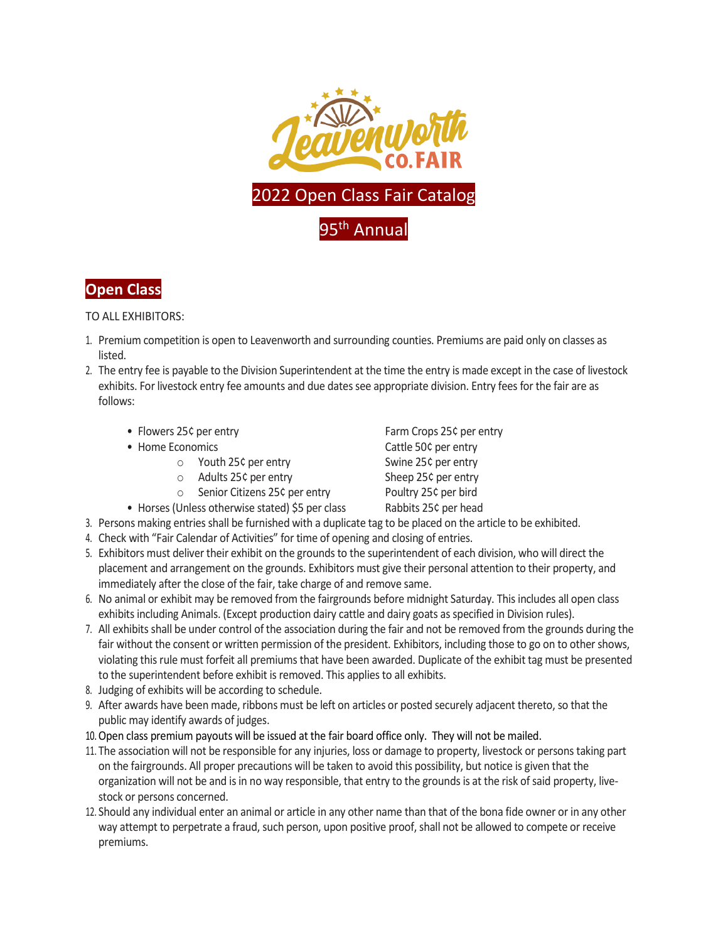



TO ALL EXHIBITORS:

- 1. Premium competition is open to Leavenworth and surrounding counties. Premiums are paid only on classes as listed.
- 2. The entry fee is payable to the Division Superintendent at the time the entry is made except in the case of livestock exhibits. For livestock entry fee amounts and due dates see appropriate division. Entry fees for the fair are as follows:
	- Flowers 25¢ per entry Farm Crops 25¢ per entry
	- - o Youth 25¢ per entry Swine 25¢ per entry
		- o Adults 25¢ per entry Sheep 25¢ per entry
		- o Senior Citizens 25¢ per entry Poultry 25¢ per bird
	- Horses (Unless otherwise stated) \$5 per class Rabbits 25¢ per head

• Home Economics **Cattle 50¢ per entry** 

- 3. Persons making entries shall be furnished with a duplicate tag to be placed on the article to be exhibited.
- 4. Check with "Fair Calendar of Activities" for time of opening and closing of entries.
- 5. Exhibitors must deliver their exhibit on the grounds to the superintendent of each division, who will direct the placement and arrangement on the grounds. Exhibitors must give their personal attention to their property, and immediately after the close of the fair, take charge of and remove same.
- 6. No animal or exhibit may be removed from the fairgrounds before midnight Saturday. This includes all open class exhibits including Animals. (Except production dairy cattle and dairy goats as specified in Division rules).
- 7. All exhibits shall be under control of the association during the fair and not be removed from the grounds during the fair without the consent or written permission of the president. Exhibitors, including those to go on to other shows, violating this rule must forfeit all premiumsthat have been awarded. Duplicate of the exhibit tag must be presented to the superintendent before exhibit is removed. This applies to all exhibits.
- 8. Judging of exhibits will be according to schedule.
- 9. After awards have been made, ribbons must be left on articles or posted securely adjacent thereto, so that the public may identify awards of judges.
- 10.Open class premium payouts will be issued at the fair board office only. They will not be mailed.
- 11. The association will not be responsible for any injuries, loss or damage to property, livestock or persons taking part on the fairgrounds. All proper precautions will be taken to avoid this possibility, but notice is given that the organization will not be and is in no way responsible, that entry to the grounds is at the risk of said property, livestock or persons concerned.
- 12. Should any individual enter an animal or article in any other name than that of the bona fide owner or in any other way attempt to perpetrate a fraud, such person, upon positive proof, shall not be allowed to compete or receive premiums.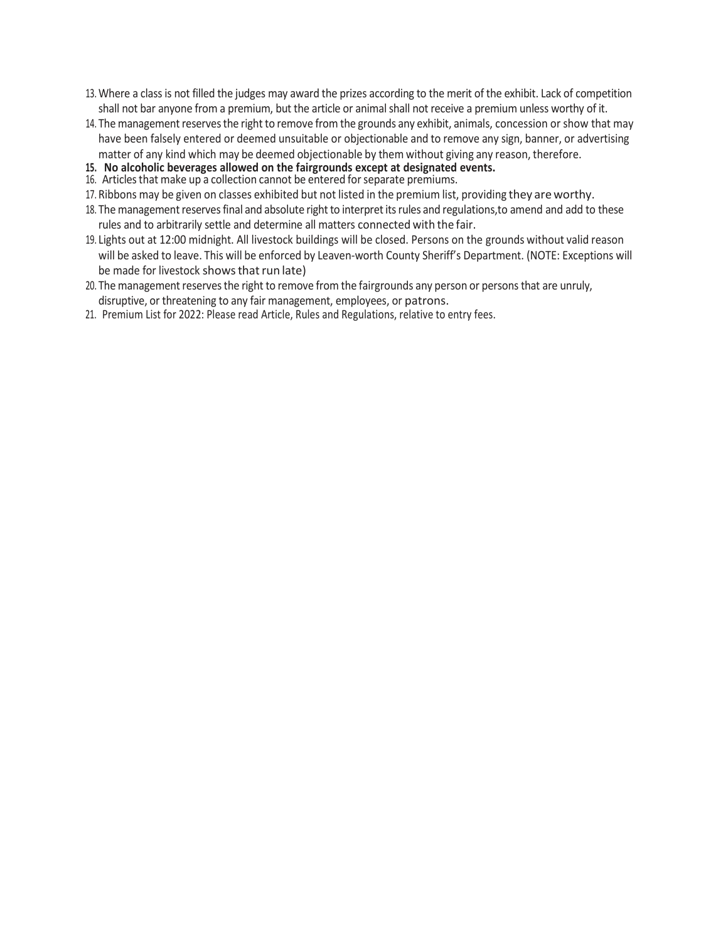- 13. Where a class is not filled the judges may award the prizes according to the merit of the exhibit. Lack of competition shall not bar anyone from a premium, but the article or animal shall not receive a premium unless worthy of it.
- 14. The management reserves the right to remove from the grounds any exhibit, animals, concession or show that may have been falsely entered or deemed unsuitable or objectionable and to remove any sign, banner, or advertising matter of any kind which may be deemed objectionable by them without giving any reason, therefore.
- **15. No alcoholic beverages allowed on the fairgrounds except at designated events.**
- 16. Articles that make up a collection cannot be entered for separate premiums.
- 17. Ribbons may be given on classes exhibited but not listed in the premium list, providing they areworthy.
- 18. The management reserves final and absolute right to interpret its rules and regulations, to amend and add to these rules and to arbitrarily settle and determine all matters connected with the fair.
- 19. Lights out at 12:00 midnight. All livestock buildings will be closed. Persons on the grounds without valid reason will be asked to leave. This will be enforced by Leaven-worth County Sheriff's Department. (NOTE: Exceptions will be made for livestock shows that run late)
- 20. The management reserves the right to remove from the fairgrounds any person or persons that are unruly, disruptive, or threatening to any fair management, employees, or patrons.
- 21. Premium List for 2022: Please read Article, Rules and Regulations, relative to entry fees.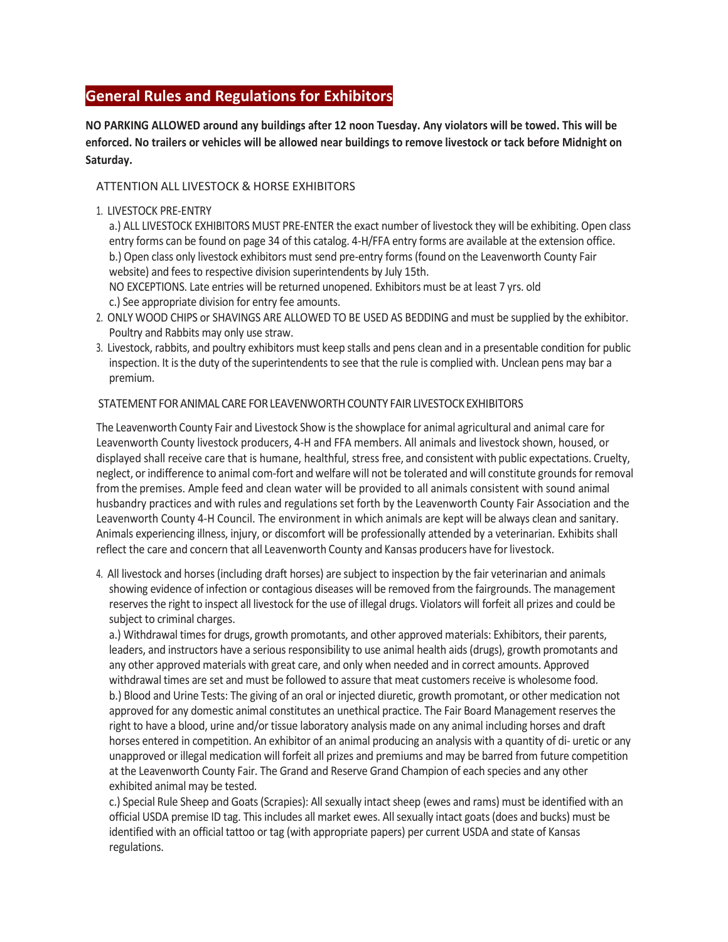# **General Rules and Regulations for Exhibitors**

**NO PARKING ALLOWED around any buildings after 12 noon Tuesday. Any violators will be towed. This will be enforced. No trailers or vehicles will be allowed near buildings to remove livestock or tack before Midnight on Saturday.**

# ATTENTION ALL LIVESTOCK & HORSE EXHIBITORS

# 1. LIVESTOCK PRE-ENTRY

a.) ALL LIVESTOCK EXHIBITORS MUST PRE-ENTER the exact number of livestock they will be exhibiting. Open class entry forms can be found on page 34 of this catalog. 4-H/FFA entry forms are available at the extension office. b.) Open class only livestock exhibitors must send pre-entry forms(found on the Leavenworth County Fair website) and fees to respective division superintendents by July 15th.

NO EXCEPTIONS. Late entries will be returned unopened. Exhibitors must be at least 7 yrs. old c.) See appropriate division for entry fee amounts.

- 2. ONLY WOOD CHIPS or SHAVINGS ARE ALLOWED TO BE USED AS BEDDING and must be supplied by the exhibitor. Poultry and Rabbits may only use straw.
- 3. Livestock, rabbits, and poultry exhibitors must keep stalls and pens clean and in a presentable condition for public inspection. It is the duty of the superintendents to see that the rule is complied with. Unclean pens may bar a premium.

# STATEMENT FORANIMAL CARE FORLEAVENWORTHCOUNTY FAIRLIVESTOCKEXHIBITORS

The Leavenworth County Fair and Livestock Show isthe showplace for animal agricultural and animal care for Leavenworth County livestock producers, 4-H and FFA members. All animals and livestock shown, housed, or displayed shall receive care that is humane, healthful, stress free, and consistent with public expectations. Cruelty, neglect, or indifference to animal com-fort and welfare will not be tolerated and will constitute grounds for removal from the premises. Ample feed and clean water will be provided to all animals consistent with sound animal husbandry practices and with rules and regulations set forth by the Leavenworth County Fair Association and the Leavenworth County 4-H Council. The environment in which animals are kept will be always clean and sanitary. Animals experiencing illness, injury, or discomfort will be professionally attended by a veterinarian. Exhibits shall reflect the care and concern that all Leavenworth County and Kansas producers have forlivestock.

4. All livestock and horses (including draft horses) are subject to inspection by the fair veterinarian and animals showing evidence of infection or contagious diseases will be removed from the fairgrounds. The management reservesthe right to inspect all livestock for the use of illegal drugs. Violators will forfeit all prizes and could be subject to criminal charges.

a.) Withdrawal times for drugs, growth promotants, and other approved materials: Exhibitors, their parents, leaders, and instructors have a serious responsibility to use animal health aids (drugs), growth promotants and any other approved materials with great care, and only when needed and in correct amounts. Approved withdrawal times are set and must be followed to assure that meat customers receive is wholesome food. b.) Blood and Urine Tests: The giving of an oral or injected diuretic, growth promotant, or other medication not approved for any domestic animal constitutes an unethical practice. The Fair Board Management reserves the right to have a blood, urine and/or tissue laboratory analysis made on any animal including horses and draft horses entered in competition. An exhibitor of an animal producing an analysis with a quantity of di- uretic or any unapproved or illegal medication will forfeit all prizes and premiums and may be barred from future competition at the Leavenworth County Fair. The Grand and Reserve Grand Champion of each species and any other exhibited animal may be tested.

c.) Special Rule Sheep and Goats (Scrapies): All sexually intact sheep (ewes and rams) must be identified with an official USDA premise ID tag. This includes all market ewes. All sexually intact goats (does and bucks) must be identified with an official tattoo or tag (with appropriate papers) per current USDA and state of Kansas regulations.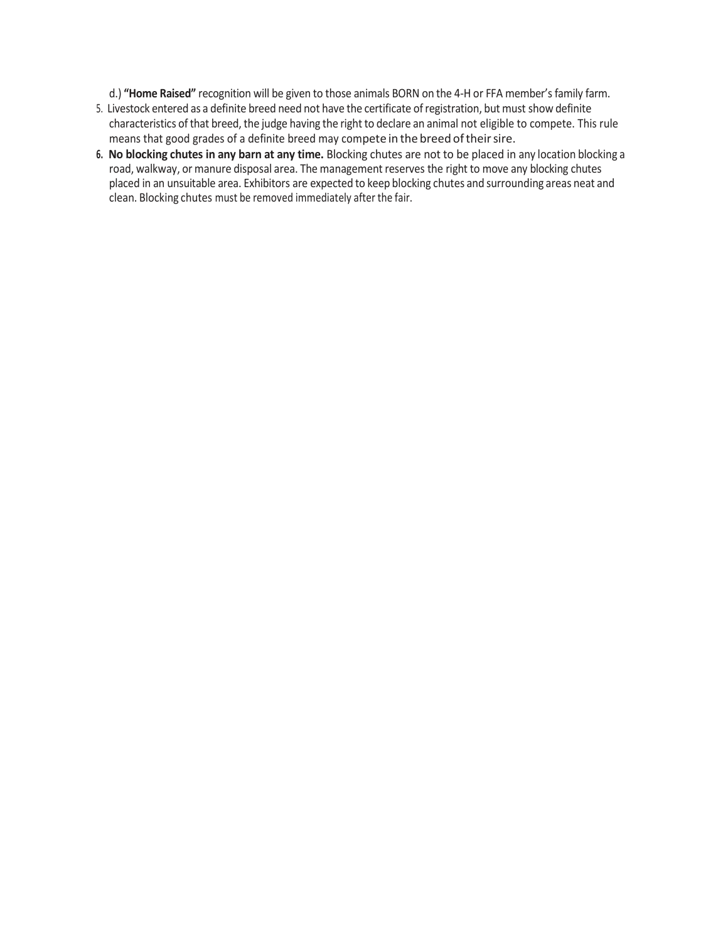d.) **"Home Raised"** recognition will be given to those animals BORN on the 4-H or FFA member's family farm.

- 5. Livestock entered as a definite breed need not have the certificate ofregistration, but must show definite characteristics of that breed, the judge having the right to declare an animal not eligible to compete. This rule means that good grades of a definite breed may compete in the breed of their sire.
- **6. No blocking chutes in any barn at any time.** Blocking chutes are not to be placed in any location blocking a road, walkway, or manure disposal area. The management reserves the right to move any blocking chutes placed in an unsuitable area. Exhibitors are expected to keep blocking chutes and surrounding areas neat and clean. Blocking chutes must be removed immediately after the fair.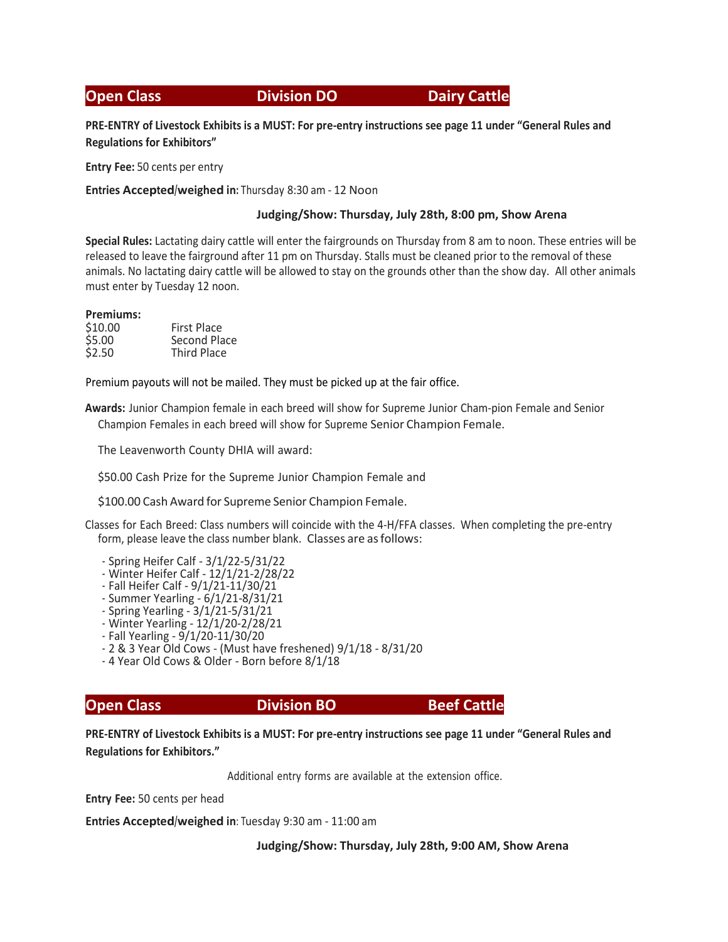**Open Class Communist Division DO Class Division DO Dairy Cattle** 

**PRE-ENTRY of Livestock Exhibits is a MUST: For pre-entry instructions see page 11 under "General Rules and Regulations for Exhibitors"**

**Entry Fee:** 50 cents per entry

**Entries Accepted/weighed in:** Thursday 8:30 am - 12 Noon

# **Judging/Show: Thursday, July 28th, 8:00 pm, Show Arena**

**Special Rules:** Lactating dairy cattle will enter the fairgrounds on Thursday from 8 am to noon. These entries will be released to leave the fairground after 11 pm on Thursday. Stalls must be cleaned prior to the removal of these animals. No lactating dairy cattle will be allowed to stay on the grounds other than the show day. All other animals must enter by Tuesday 12 noon.

### **Premiums:**

| \$10.00 | <b>First Place</b> |  |  |
|---------|--------------------|--|--|
| \$5.00  | Second Place       |  |  |
| \$2.50  | <b>Third Place</b> |  |  |

Premium payouts will not be mailed. They must be picked up at the fair office.

**Awards:** Junior Champion female in each breed will show for Supreme Junior Cham-pion Female and Senior Champion Females in each breed will show for Supreme Senior Champion Female.

The Leavenworth County DHIA will award:

\$50.00 Cash Prize for the Supreme Junior Champion Female and

\$100.00 Cash Award for Supreme Senior Champion Female.

Classes for Each Breed: Class numbers will coincide with the 4-H/FFA classes. When completing the pre-entry form, please leave the class number blank. Classes are asfollows:

- Spring Heifer Calf 3/1/22-5/31/22
- Winter Heifer Calf 12/1/21-2/28/22
- Fall Heifer Calf 9/1/21-11/30/21
- Summer Yearling 6/1/21-8/31/21
- Spring Yearling 3/1/21-5/31/21
- Winter Yearling 12/1/20-2/28/21
- Fall Yearling 9/1/20-11/30/20
- 2 & 3 Year Old Cows (Must have freshened) 9/1/18 8/31/20
- 4 Year Old Cows & Older Born before 8/1/18

# **Open Class Community Community Division BO Beef Cattle**

**PRE-ENTRY of Livestock Exhibits is a MUST: For pre-entry instructions see page 11 under "General Rules and Regulations for Exhibitors."**

Additional entry forms are available at the extension office.

**Entry Fee:** 50 cents per head

**Entries Accepted/weighed in**: Tuesday 9:30 am - 11:00 am

**Judging/Show: Thursday, July 28th, 9:00 AM, Show Arena**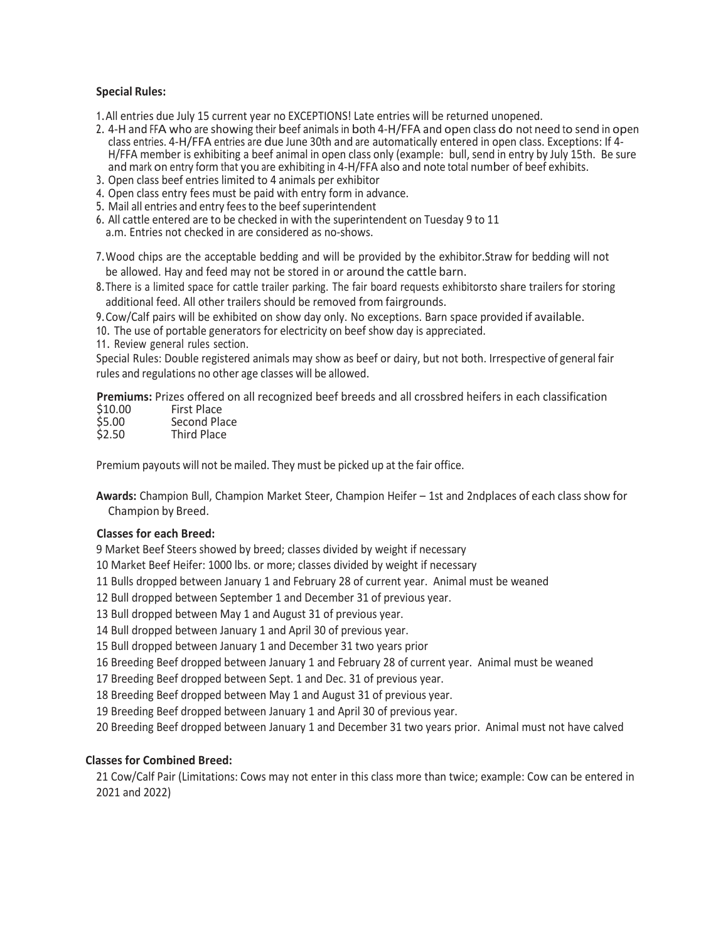# **Special Rules:**

1.All entries due July 15 current year no EXCEPTIONS! Late entries will be returned unopened.

- 2. 4-H and FFA who are showing their beef animals in both 4-H/FFA and open class do not need to send in open class entries. 4-H/FFA entries are due June 30th and are automatically entered in open class. Exceptions: If 4- H/FFA member is exhibiting a beef animal in open class only (example: bull, send in entry by July 15th. Be sure and mark on entry form that you are exhibiting in 4-H/FFA also and note total number of beef exhibits.
- 3. Open class beef entries limited to 4 animals per exhibitor
- 4. Open class entry fees must be paid with entry form in advance.
- 5. Mail all entries and entry fees to the beef superintendent
- 6. All cattle entered are to be checked in with the superintendent on Tuesday 9 to 11 a.m. Entries not checked in are considered as no-shows.
- 7.Wood chips are the acceptable bedding and will be provided by the exhibitor.Straw for bedding will not be allowed. Hay and feed may not be stored in or around the cattle barn.
- 8.There is a limited space for cattle trailer parking. The fair board requests exhibitorsto share trailers for storing additional feed. All other trailers should be removed from fairgrounds.

9.Cow/Calf pairs will be exhibited on show day only. No exceptions. Barn space provided if available.

10. The use of portable generators for electricity on beef show day is appreciated.

11. Review general rules section.

Special Rules: Double registered animals may show as beef or dairy, but not both. Irrespective of general fair rules and regulations no other age classes will be allowed.

**Premiums:** Prizes offered on all recognized beef breeds and all crossbred heifers in each classification

| \$10.00 | <b>First Place</b> |
|---------|--------------------|
| \$5.00  | Second Place       |
| \$2.50  | Third Place        |

Premium payouts will not be mailed. They must be picked up at the fair office.

**Awards:** Champion Bull, Champion Market Steer, Champion Heifer – 1st and 2ndplaces of each class show for Champion by Breed.

### **Classes for each Breed:**

9 Market Beef Steers showed by breed; classes divided by weight if necessary

10 Market Beef Heifer: 1000 lbs. or more; classes divided by weight if necessary

11 Bulls dropped between January 1 and February 28 of current year. Animal must be weaned

12 Bull dropped between September 1 and December 31 of previous year.

13 Bull dropped between May 1 and August 31 of previous year.

14 Bull dropped between January 1 and April 30 of previous year.

15 Bull dropped between January 1 and December 31 two years prior

16 Breeding Beef dropped between January 1 and February 28 of current year. Animal must be weaned

17 Breeding Beef dropped between Sept. 1 and Dec. 31 of previous year.

18 Breeding Beef dropped between May 1 and August 31 of previous year.

19 Breeding Beef dropped between January 1 and April 30 of previous year.

20 Breeding Beef dropped between January 1 and December 31 two years prior. Animal must not have calved

### **Classes for Combined Breed:**

21 Cow/Calf Pair (Limitations: Cows may not enter in this class more than twice; example: Cow can be entered in 2021 and 2022)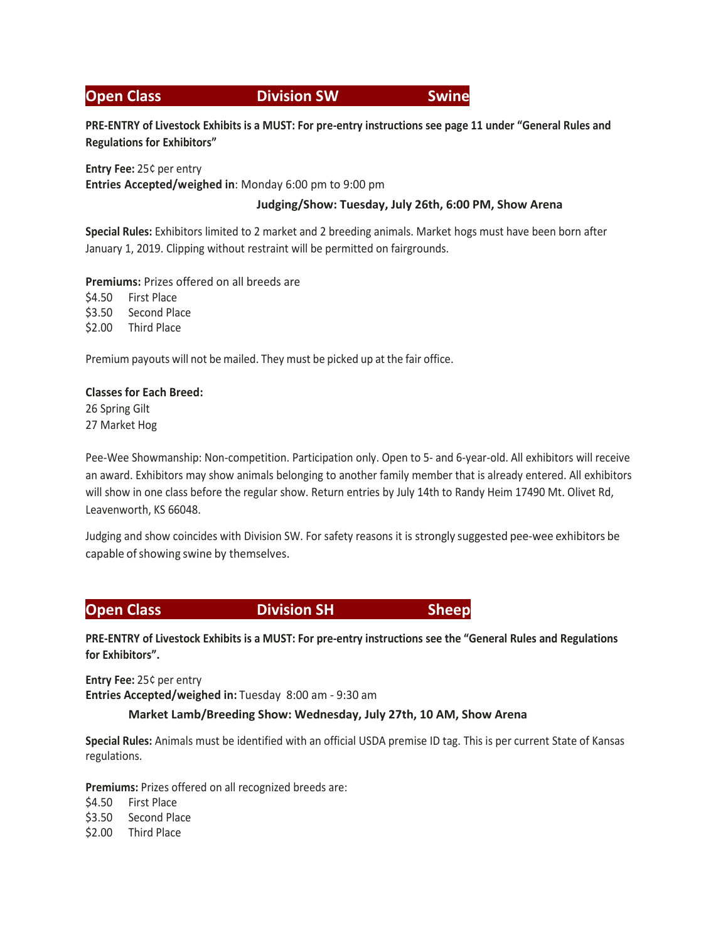# **Open Class Communist Communist Communist Communist Communist Communist Communist Communist Communist Communist Communist Communist Communist Communist Communist Communist Communist Communist Communist Communist Communist**

**PRE-ENTRY of Livestock Exhibits is a MUST: For pre-entry instructions see page 11 under "General Rules and Regulations for Exhibitors"**

**Entry Fee:** 25¢ per entry **Entries Accepted/weighed in**: Monday 6:00 pm to 9:00 pm

# **Judging/Show: Tuesday, July 26th, 6:00 PM, Show Arena**

**Special Rules:** Exhibitors limited to 2 market and 2 breeding animals. Market hogs must have been born after January 1, 2019. Clipping without restraint will be permitted on fairgrounds.

**Premiums:** Prizes offered on all breeds are

\$4.50 First Place \$3.50 Second Place \$2.00 Third Place

Premium payouts will not be mailed. They must be picked up at the fair office.

# **Classes for Each Breed:**

26 Spring Gilt 27 Market Hog

Pee-Wee Showmanship: Non-competition. Participation only. Open to 5- and 6-year-old. All exhibitors will receive an award. Exhibitors may show animals belonging to another family member that is already entered. All exhibitors will show in one class before the regular show. Return entries by July 14th to Randy Heim 17490 Mt. Olivet Rd, Leavenworth, KS 66048.

Judging and show coincides with Division SW. For safety reasons it is strongly suggested pee-wee exhibitors be capable of showing swine by themselves.

# **Open Class Community Community Division SH Sheep**

**PRE-ENTRY of Livestock Exhibits is a MUST: For pre-entry instructions see the "General Rules and Regulations for Exhibitors".**

**Entry Fee:** 25¢ per entry **Entries Accepted/weighed in:** Tuesday 8:00 am - 9:30 am

# **Market Lamb/Breeding Show: Wednesday, July 27th, 10 AM, Show Arena**

**Special Rules:** Animals must be identified with an official USDA premise ID tag. This is per current State of Kansas regulations.

**Premiums:** Prizes offered on all recognized breeds are:

\$4.50 First Place

\$3.50 Second Place

\$2.00 Third Place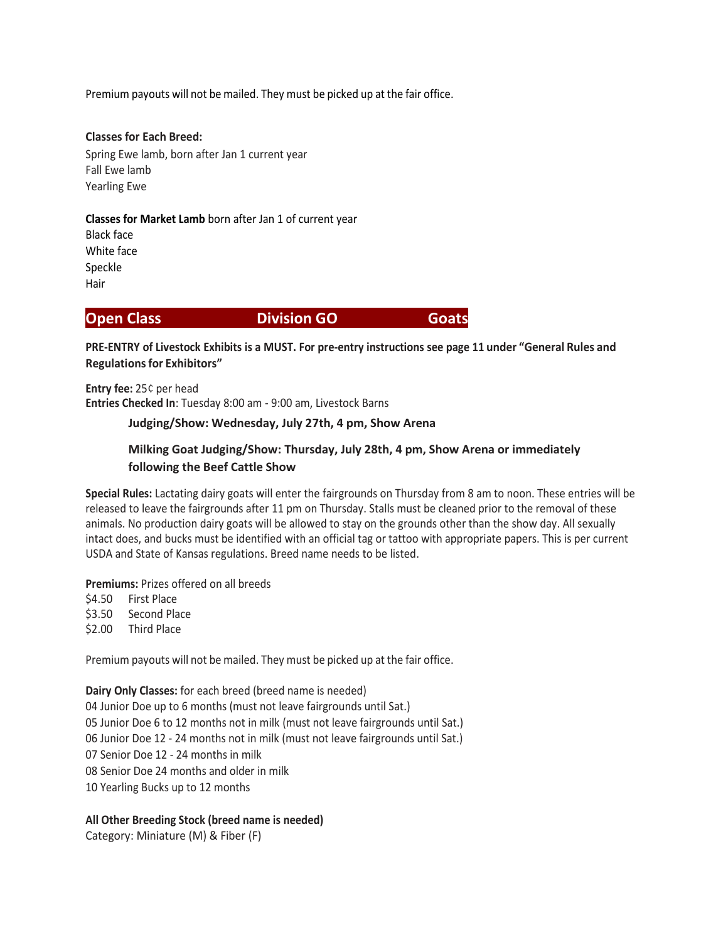Premium payouts will not be mailed. They must be picked up at the fair office.

# **Classes for Each Breed:** Spring Ewe lamb, born after Jan 1 current year Fall Ewe lamb Yearling Ewe

# **Classes for Market Lamb** born after Jan 1 of current year

Black face White face Speckle Hair

# **Open Class Community Community Division GO Goats**

**PRE-ENTRY of Livestock Exhibits is a MUST. For pre-entry instructions see page 11 under "General Rules and Regulationsfor Exhibitors"**

**Entry fee:** 25¢ per head **Entries Checked In**: Tuesday 8:00 am - 9:00 am, Livestock Barns

### **Judging/Show: Wednesday, July 27th, 4 pm, Show Arena**

# **Milking Goat Judging/Show: Thursday, July 28th, 4 pm, Show Arena or immediately following the Beef Cattle Show**

**Special Rules:** Lactating dairy goats will enter the fairgrounds on Thursday from 8 am to noon. These entries will be released to leave the fairgrounds after 11 pm on Thursday. Stalls must be cleaned prior to the removal of these animals. No production dairy goats will be allowed to stay on the grounds other than the show day. All sexually intact does, and bucks must be identified with an official tag or tattoo with appropriate papers. This is per current USDA and State of Kansas regulations. Breed name needs to be listed.

**Premiums:** Prizes offered on all breeds

\$4.50 First Place \$3.50 Second Place \$2.00 Third Place

Premium payouts will not be mailed. They must be picked up at the fair office.

**Dairy Only Classes:** for each breed (breed name is needed) 04 Junior Doe up to 6 months (must not leave fairgrounds until Sat.) 05 Junior Doe 6 to 12 months not in milk (must not leave fairgrounds until Sat.) 06 Junior Doe 12 - 24 months not in milk (must not leave fairgrounds until Sat.) 07 Senior Doe 12 - 24 months in milk 08 Senior Doe 24 months and older in milk 10 Yearling Bucks up to 12 months

**All Other Breeding Stock (breed name is needed)** Category: Miniature (M) & Fiber (F)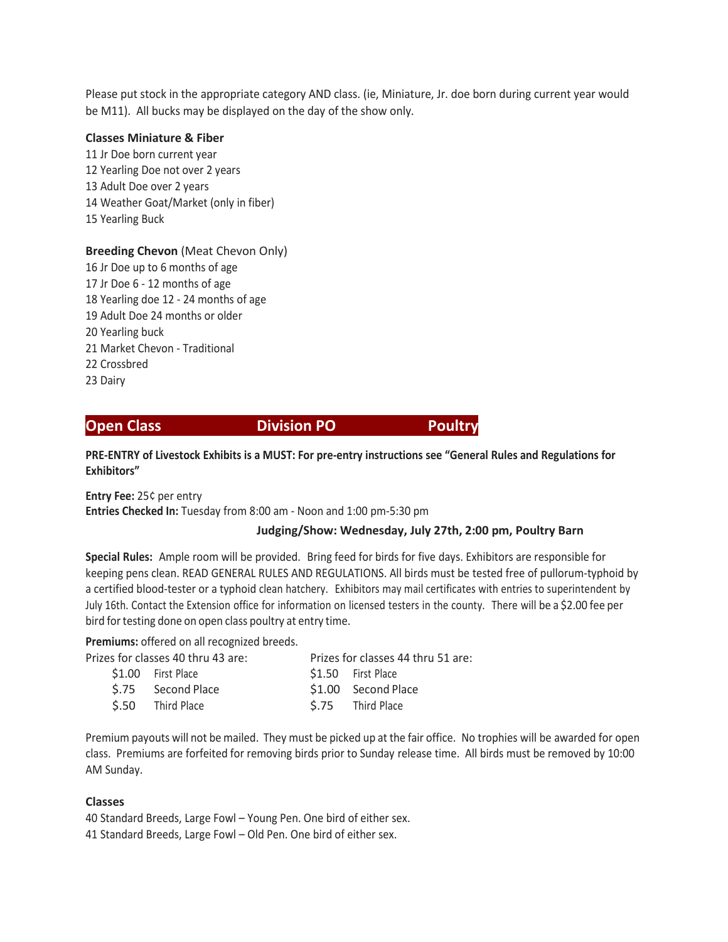Please put stock in the appropriate category AND class. (ie, Miniature, Jr. doe born during current year would be M11). All bucks may be displayed on the day of the show only.

### **Classes Miniature & Fiber**

11 Jr Doe born current year 12 Yearling Doe not over 2 years 13 Adult Doe over 2 years 14 Weather Goat/Market (only in fiber) 15 Yearling Buck

**Breeding Chevon** (Meat Chevon Only) 16 Jr Doe up to 6 months of age 17 Jr Doe 6 - 12 months of age 18 Yearling doe 12 - 24 months of age 19 Adult Doe 24 months or older 20 Yearling buck 21 Market Chevon - Traditional 22 Crossbred 23 Dairy

**Open Class Communist Communist Division PO Poultry** 

**PRE-ENTRY of Livestock Exhibits is a MUST: For pre-entry instructions see "General Rules and Regulations for Exhibitors"**

**Entry Fee:** 25¢ per entry

**Entries Checked In:** Tuesday from 8:00 am - Noon and 1:00 pm-5:30 pm

### **Judging/Show: Wednesday, July 27th, 2:00 pm, Poultry Barn**

**Special Rules:** Ample room will be provided. Bring feed for birds for five days. Exhibitors are responsible for keeping pens clean. READ GENERAL RULES AND REGULATIONS. All birds must be tested free of pullorum-typhoid by a certified blood-tester or a typhoid clean hatchery. Exhibitors may mail certificates with entries to superintendent by July 16th. Contact the Extension office for information on licensed testers in the county. There will be a \$2.00 fee per bird for testing done on open class poultry at entry time.

**Premiums:** offered on all recognized breeds.

|  | Prizes for classes 40 thru 43 are: | Prizes for classes 44 thru 51 are: |
|--|------------------------------------|------------------------------------|
|  | \$1.00 First Place                 | \$1.50 First Place                 |
|  | \$.75 Second Place                 | \$1.00 Second Place                |
|  | S.50 Third Place                   | \$.75 Third Place                  |
|  |                                    |                                    |

Premium payouts will not be mailed. They must be picked up at the fair office. No trophies will be awarded for open class. Premiums are forfeited for removing birds prior to Sunday release time. All birds must be removed by 10:00 AM Sunday.

# **Classes**

40 Standard Breeds, Large Fowl – Young Pen. One bird of either sex. 41 Standard Breeds, Large Fowl – Old Pen. One bird of either sex.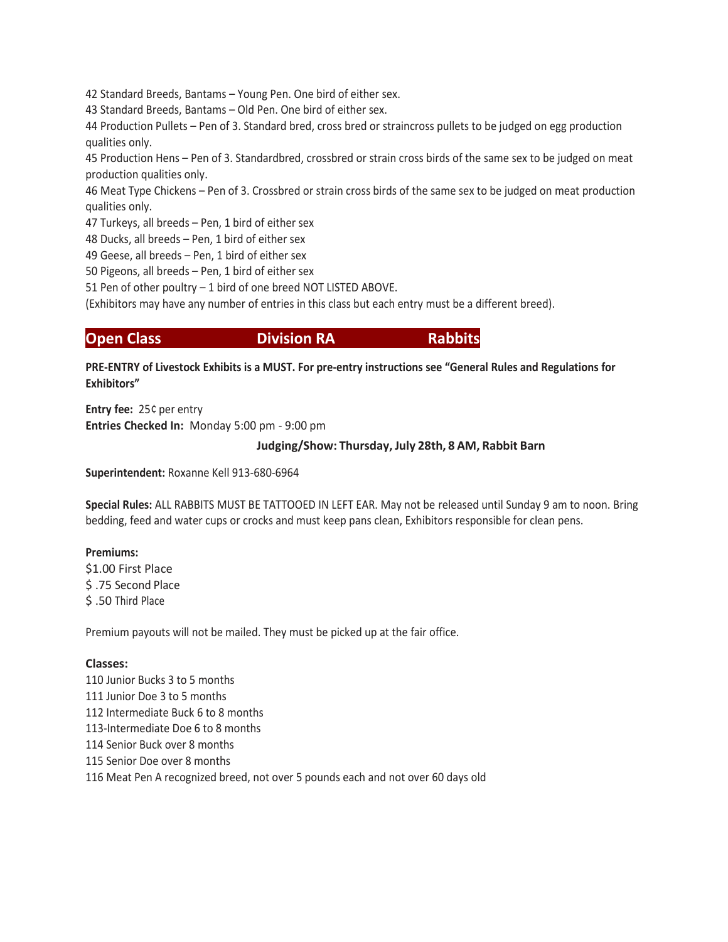42 Standard Breeds, Bantams – Young Pen. One bird of either sex.

43 Standard Breeds, Bantams – Old Pen. One bird of either sex.

44 Production Pullets – Pen of 3. Standard bred, cross bred or straincross pullets to be judged on egg production qualities only.

45 Production Hens – Pen of 3. Standardbred, crossbred or strain cross birds of the same sex to be judged on meat production qualities only.

46 Meat Type Chickens – Pen of 3. Crossbred or strain cross birds of the same sex to be judged on meat production qualities only.

47 Turkeys, all breeds – Pen, 1 bird of either sex

48 Ducks, all breeds – Pen, 1 bird of either sex

49 Geese, all breeds – Pen, 1 bird of either sex

50 Pigeons, all breeds – Pen, 1 bird of either sex

51 Pen of other poultry – 1 bird of one breed NOT LISTED ABOVE.

(Exhibitors may have any number of entries in this class but each entry must be a different breed).

**Open Class Communist Communist Division RA Rabbits** 

**PRE-ENTRY of Livestock Exhibits is a MUST. For pre-entry instructions see "General Rules and Regulations for Exhibitors"**

**Entry fee:** 25¢ per entry **Entries Checked In:** Monday 5:00 pm - 9:00 pm

# **Judging/Show: Thursday, July 28th, 8 AM, Rabbit Barn**

**Superintendent:** Roxanne Kell 913-680-6964

**Special Rules:** ALL RABBITS MUST BE TATTOOED IN LEFT EAR. May not be released until Sunday 9 am to noon. Bring bedding, feed and water cups or crocks and must keep pans clean, Exhibitors responsible for clean pens.

# **Premiums:**

\$1.00 First Place \$ .75 Second Place \$ .50 Third Place

Premium payouts will not be mailed. They must be picked up at the fair office.

# **Classes:**

110 Junior Bucks 3 to 5 months 111 Junior Doe 3 to 5 months 112 Intermediate Buck 6 to 8 months 113-Intermediate Doe 6 to 8 months 114 Senior Buck over 8 months 115 Senior Doe over 8 months 116 Meat Pen A recognized breed, not over 5 pounds each and not over 60 days old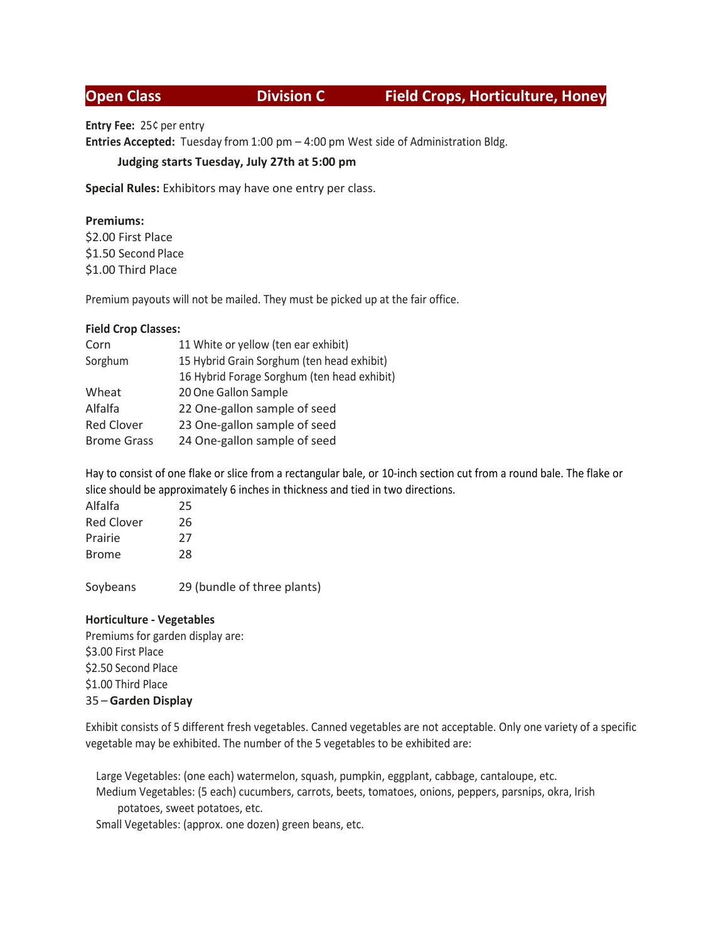# **Open Class Division C Field Crops, Horticulture, Honey**

**Entry Fee:** 25¢ per entry

**Entries Accepted:** Tuesday from 1:00 pm – 4:00 pm West side of Administration Bldg.

# **Judging starts Tuesday, July 27th at 5:00 pm**

**Special Rules:** Exhibitors may have one entry per class.

# **Premiums:**

\$2.00 First Place \$1.50 Second Place \$1.00 Third Place

Premium payouts will not be mailed. They must be picked up at the fair office.

# **Field Crop Classes:**

| Corn               | 11 White or yellow (ten ear exhibit)        |
|--------------------|---------------------------------------------|
| Sorghum            | 15 Hybrid Grain Sorghum (ten head exhibit)  |
|                    | 16 Hybrid Forage Sorghum (ten head exhibit) |
| Wheat              | 20 One Gallon Sample                        |
| Alfalfa            | 22 One-gallon sample of seed                |
| <b>Red Clover</b>  | 23 One-gallon sample of seed                |
| <b>Brome Grass</b> | 24 One-gallon sample of seed                |
|                    |                                             |

Hay to consist of one flake or slice from a rectangular bale, or 10-inch section cut from a round bale. The flake or slice should be approximately 6 inches in thickness and tied in two directions.

| Alfalfa           | 25 |
|-------------------|----|
| <b>Red Clover</b> | 26 |
| Prairie           | 27 |
| <b>Brome</b>      | 28 |
|                   |    |

Soybeans 29 (bundle of three plants)

# **Horticulture - Vegetables**

Premiums for garden display are: \$3.00 First Place \$2.50 Second Place \$1.00 Third Place 35 – **Garden Display**

Exhibit consists of 5 different fresh vegetables. Canned vegetables are not acceptable. Only one variety of a specific vegetable may be exhibited. The number of the 5 vegetables to be exhibited are:

Large Vegetables: (one each) watermelon, squash, pumpkin, eggplant, cabbage, cantaloupe, etc. Medium Vegetables: (5 each) cucumbers, carrots, beets, tomatoes, onions, peppers, parsnips, okra, Irish potatoes, sweet potatoes, etc.

Small Vegetables: (approx. one dozen) green beans, etc.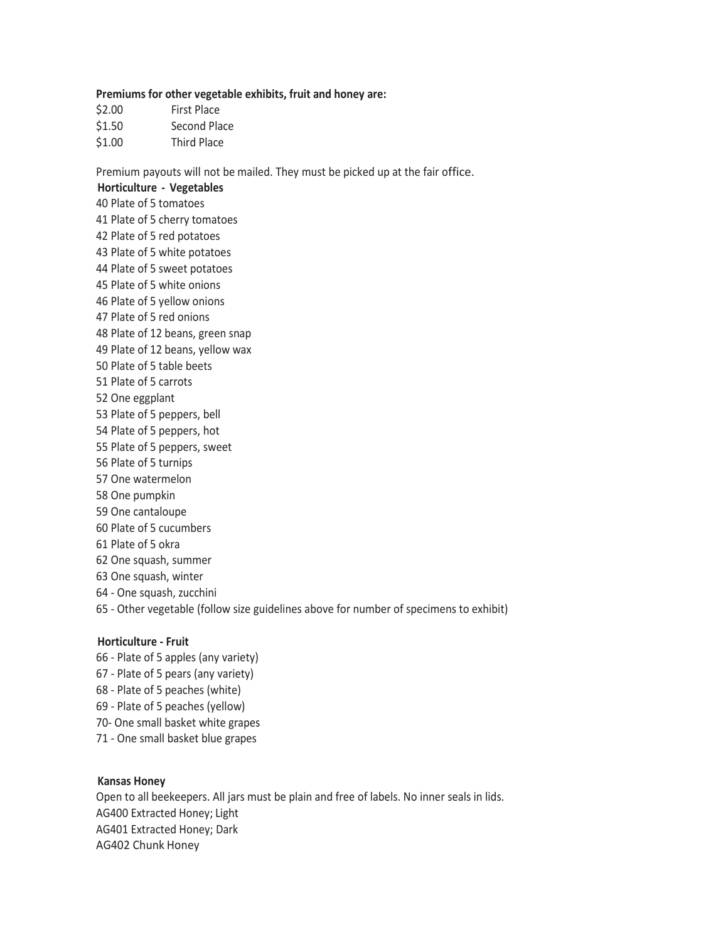### **Premiums for other vegetable exhibits, fruit and honey are:**

- \$2.00 First Place \$1.50 Second Place
- \$1.00 Third Place

Premium payouts will not be mailed. They must be picked up at the fair office.

**Horticulture - Vegetables** 40 Plate of 5 tomatoes 41 Plate of 5 cherry tomatoes 42 Plate of 5 red potatoes 43 Plate of 5 white potatoes 44 Plate of 5 sweet potatoes 45 Plate of 5 white onions 46 Plate of 5 yellow onions 47 Plate of 5 red onions 48 Plate of 12 beans, green snap 49 Plate of 12 beans, yellow wax 50 Plate of 5 table beets 51 Plate of 5 carrots 52 One eggplant 53 Plate of 5 peppers, bell 54 Plate of 5 peppers, hot 55 Plate of 5 peppers, sweet 56 Plate of 5 turnips 57 One watermelon 58 One pumpkin 59 One cantaloupe 60 Plate of 5 cucumbers 61 Plate of 5 okra 62 One squash, summer 63 One squash, winter 64 - One squash, zucchini 65 - Other vegetable (follow size guidelines above for number of specimens to exhibit)

# **Horticulture - Fruit**

66 - Plate of 5 apples (any variety) 67 - Plate of 5 pears (any variety) 68 - Plate of 5 peaches (white) 69 - Plate of 5 peaches (yellow) 70- One small basket white grapes 71 - One small basket blue grapes

### **Kansas Honey**

Open to all beekeepers. All jars must be plain and free of labels. No inner seals in lids. AG400 Extracted Honey; Light AG401 Extracted Honey; Dark AG402 Chunk Honey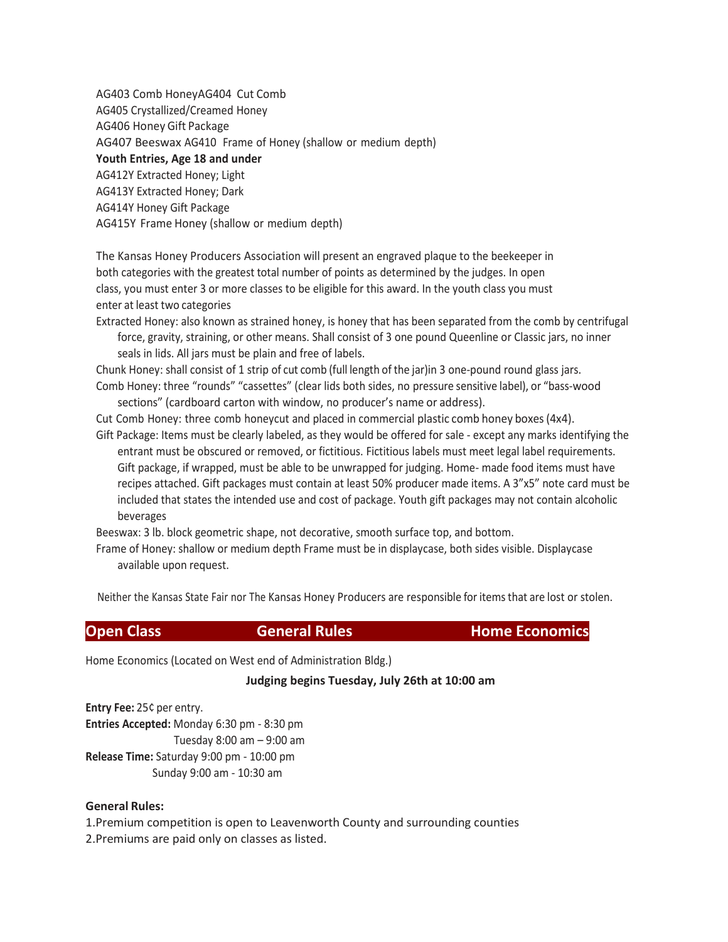AG403 Comb HoneyAG404 Cut Comb AG405 Crystallized/Creamed Honey AG406 Honey Gift Package AG407 Beeswax AG410 Frame of Honey (shallow or medium depth) **Youth Entries, Age 18 and under** AG412Y Extracted Honey; Light AG413Y Extracted Honey; Dark AG414Y Honey Gift Package AG415Y Frame Honey (shallow or medium depth)

The Kansas Honey Producers Association will present an engraved plaque to the beekeeper in both categories with the greatest total number of points as determined by the judges. In open class, you must enter 3 or more classes to be eligible for this award. In the youth class you must enter at least two categories

Extracted Honey: also known as strained honey, is honey that has been separated from the comb by centrifugal force, gravity, straining, or other means. Shall consist of 3 one pound Queenline or Classic jars, no inner seals in lids. All jars must be plain and free of labels.

Chunk Honey: shall consist of 1 strip of cut comb (full length of the jar)in 3 one-pound round glass jars. Comb Honey: three "rounds" "cassettes" (clear lids both sides, no pressure sensitive label), or "bass-wood sections" (cardboard carton with window, no producer's name or address).

Cut Comb Honey: three comb honeycut and placed in commercial plastic comb honey boxes(4x4).

Gift Package: Items must be clearly labeled, as they would be offered for sale - except any marks identifying the entrant must be obscured or removed, or fictitious. Fictitious labels must meet legal label requirements. Gift package, if wrapped, must be able to be unwrapped for judging. Home- made food items must have recipes attached. Gift packages must contain at least 50% producer made items. A 3"x5" note card must be included that states the intended use and cost of package. Youth gift packages may not contain alcoholic beverages

Beeswax: 3 lb. block geometric shape, not decorative, smooth surface top, and bottom.

Frame of Honey: shallow or medium depth Frame must be in displaycase, both sides visible. Displaycase available upon request.

Neither the Kansas State Fair nor The Kansas Honey Producers are responsible for items that are lost or stolen.

**Open Class Convertise General Rules Convertise Convertise Home Economics** 

Home Economics (Located on West end of Administration Bldg.)

### **Judging begins Tuesday, July 26th at 10:00 am**

**Entry Fee:** 25¢ per entry. **Entries Accepted:** Monday 6:30 pm - 8:30 pm Tuesday 8:00 am – 9:00 am **Release Time:** Saturday 9:00 pm - 10:00 pm Sunday 9:00 am - 10:30 am

### **General Rules:**

1.Premium competition is open to Leavenworth County and surrounding counties 2.Premiums are paid only on classes as listed.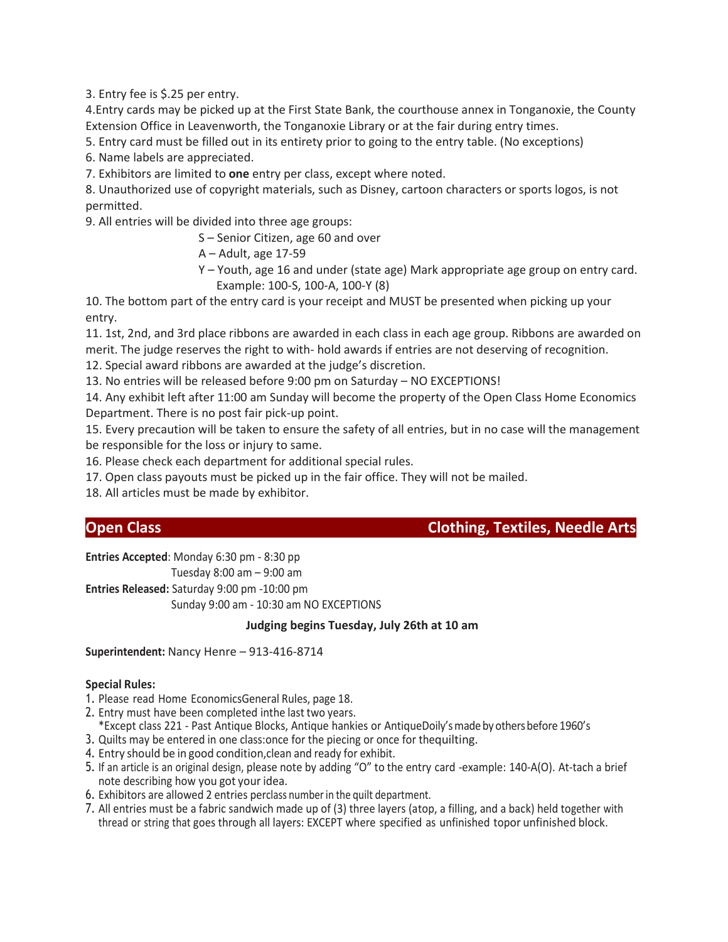3. Entry fee is \$.25 per entry.

4.Entry cards may be picked up at the First State Bank, the courthouse annex in Tonganoxie, the County Extension Office in Leavenworth, the Tonganoxie Library or at the fair during entry times.

5. Entry card must be filled out in its entirety prior to going to the entry table. (No exceptions)

6. Name labels are appreciated.

7. Exhibitors are limited to **one** entry per class, except where noted.

8. Unauthorized use of copyright materials, such as Disney, cartoon characters or sports logos, is not permitted.

9. All entries will be divided into three age groups:

S – Senior Citizen, age 60 and over

- A Adult, age 17-59
- Y Youth, age 16 and under (state age) Mark appropriate age group on entry card. Example: 100-S, 100-A, 100-Y (8)

10. The bottom part of the entry card is your receipt and MUST be presented when picking up your entry.

11. 1st, 2nd, and 3rd place ribbons are awarded in each class in each age group. Ribbons are awarded on merit. The judge reserves the right to with- hold awards if entries are not deserving of recognition.

12. Special award ribbons are awarded at the judge's discretion.

13. No entries will be released before 9:00 pm on Saturday – NO EXCEPTIONS!

14. Any exhibit left after 11:00 am Sunday will become the property of the Open Class Home Economics Department. There is no post fair pick-up point.

15. Every precaution will be taken to ensure the safety of all entries, but in no case will the management be responsible for the loss or injury to same.

16. Please check each department for additional special rules.

17. Open class payouts must be picked up in the fair office. They will not be mailed.

18. All articles must be made by exhibitor.

# **Open Class Clothing, Textiles, Needle Arts**

**Entries Accepted**: Monday 6:30 pm - 8:30 pp

Tuesday 8:00 am – 9:00 am

**Entries Released:** Saturday 9:00 pm -10:00 pm

Sunday 9:00 am - 10:30 am NO EXCEPTIONS

# **Judging begins Tuesday, July 26th at 10 am**

**Superintendent:** Nancy Henre – 913-416-8714

# **Special Rules:**

- 1. Please read Home EconomicsGeneral Rules, page 18.
- 2. Entry must have been completed inthe last two years.
- \*Except class 221 Past Antique Blocks, Antique hankies or AntiqueDoily'smade by othersbefore 1960's
- 3. Quilts may be entered in one class:once for the piecing or once for thequilting.
- 4. Entry should be in good condition,clean and ready for exhibit.
- 5. If an article is an original design, please note by adding "O" to the entry card -example: 140-A(O). At-tach a brief note describing how you got your idea.
- 6. Exhibitors are allowed 2 entries perclass numberin the quilt department.
- 7. All entries must be a fabric sandwich made up of (3) three layers (atop, a filling, and a back) held together with thread or string that goes through all layers: EXCEPT where specified as unfinished topor unfinished block.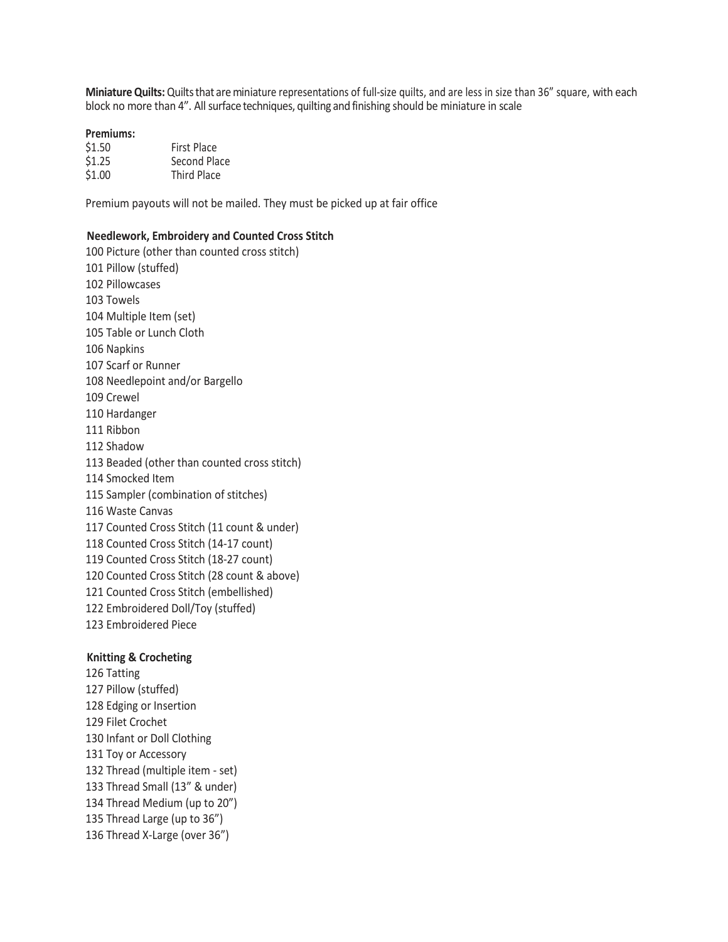Miniature Quilts: Quilts that are miniature representations of full-size quilts, and are less in size than 36" square, with each block no more than 4". All surface techniques, quilting and finishing should be miniature in scale

### **Premiums:**

| \$1.50 | <b>First Place</b> |
|--------|--------------------|
| \$1.25 | Second Place       |
| \$1.00 | <b>Third Place</b> |

Premium payouts will not be mailed. They must be picked up at fair office

### **Needlework, Embroidery and Counted Cross Stitch**

 Picture (other than counted cross stitch) Pillow (stuffed) Pillowcases Towels Multiple Item (set) Table or Lunch Cloth Napkins Scarf or Runner Needlepoint and/or Bargello Crewel Hardanger Ribbon Shadow Beaded (other than counted cross stitch) Smocked Item Sampler (combination of stitches) Waste Canvas Counted Cross Stitch (11 count & under) Counted Cross Stitch (14-17 count) Counted Cross Stitch (18-27 count) Counted Cross Stitch (28 count & above) Counted Cross Stitch (embellished) Embroidered Doll/Toy (stuffed) Embroidered Piece

### **Knitting & Crocheting**

 Tatting Pillow (stuffed) Edging or Insertion Filet Crochet Infant or Doll Clothing Toy or Accessory Thread (multiple item - set) Thread Small (13" & under) Thread Medium (up to 20") Thread Large (up to 36") Thread X-Large (over 36")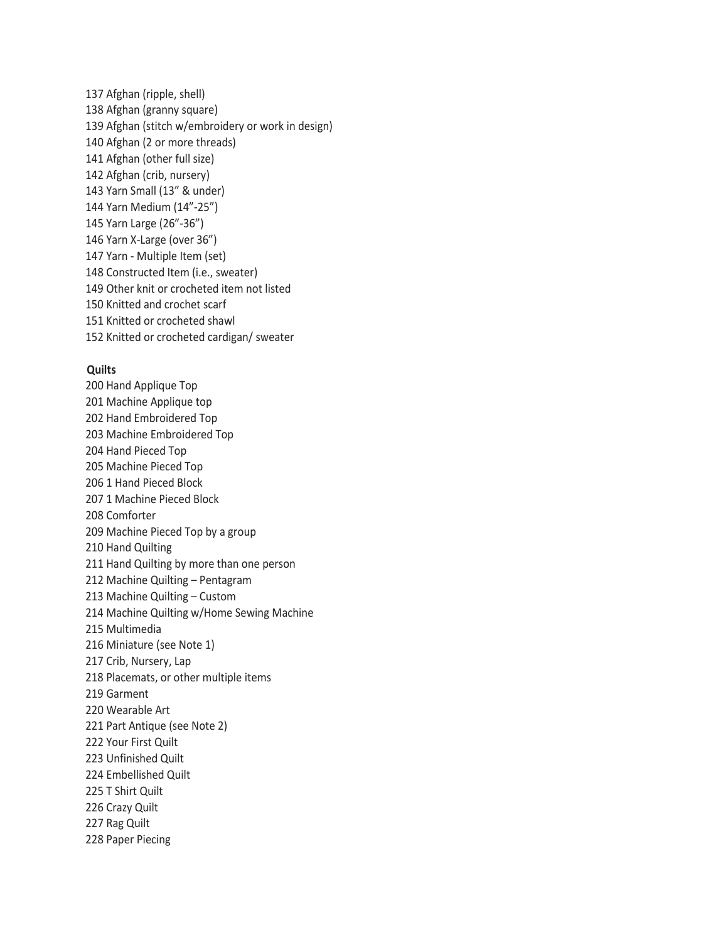Afghan (ripple, shell) Afghan (granny square) Afghan (stitch w/embroidery or work in design) Afghan (2 or more threads) Afghan (other full size) Afghan (crib, nursery) Yarn Small (13" & under) Yarn Medium (14"-25") Yarn Large (26"-36") Yarn X-Large (over 36") Yarn - Multiple Item (set) Constructed Item (i.e., sweater) 149 Other knit or crocheted item not listed 150 Knitted and crochet scarf 151 Knitted or crocheted shawl 152 Knitted or crocheted cardigan/ sweater

### **Quilts**

 Hand Applique Top Machine Applique top Hand Embroidered Top Machine Embroidered Top Hand Pieced Top Machine Pieced Top 1 Hand Pieced Block 1 Machine Pieced Block Comforter Machine Pieced Top by a group 210 Hand Quilting Hand Quilting by more than one person Machine Quilting – Pentagram 213 Machine Quilting – Custom 214 Machine Quilting w/Home Sewing Machine Multimedia Miniature (see Note 1) 217 Crib, Nursery, Lap 218 Placemats, or other multiple items 219 Garment Wearable Art Part Antique (see Note 2) Your First Quilt 223 Unfinished Quilt Embellished Quilt T Shirt Quilt Crazy Quilt Rag Quilt Paper Piecing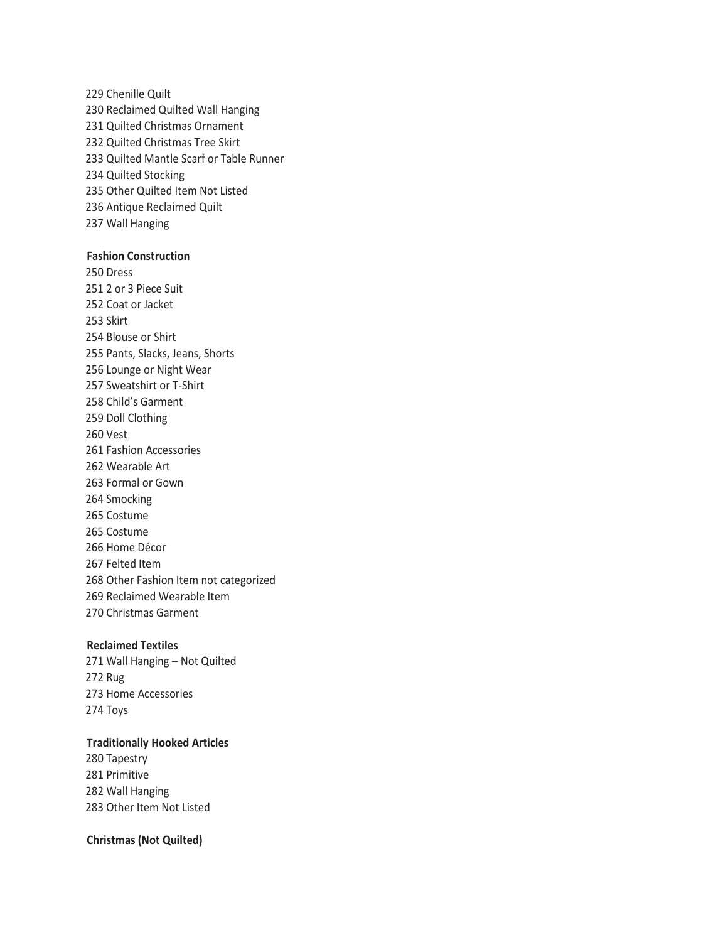Chenille Quilt Reclaimed Quilted Wall Hanging Quilted Christmas Ornament Quilted Christmas Tree Skirt Quilted Mantle Scarf or Table Runner Quilted Stocking Other Quilted Item Not Listed Antique Reclaimed Quilt 237 Wall Hanging

## **Fashion Construction**

 Dress 251 2 or 3 Piece Suit Coat or Jacket Skirt Blouse or Shirt Pants, Slacks, Jeans, Shorts Lounge or Night Wear Sweatshirt or T-Shirt Child's Garment Doll Clothing Vest Fashion Accessories Wearable Art Formal or Gown Smocking Costume 265 Costume 266 Home Décor 267 Felted Item 268 Other Fashion Item not categorized 269 Reclaimed Wearable Item Christmas Garment

### **Reclaimed Textiles**

 Wall Hanging – Not Quilted Rug Home Accessories Toys

# **Traditionally Hooked Articles**

 Tapestry Primitive Wall Hanging Other Item Not Listed

## **Christmas (Not Quilted)**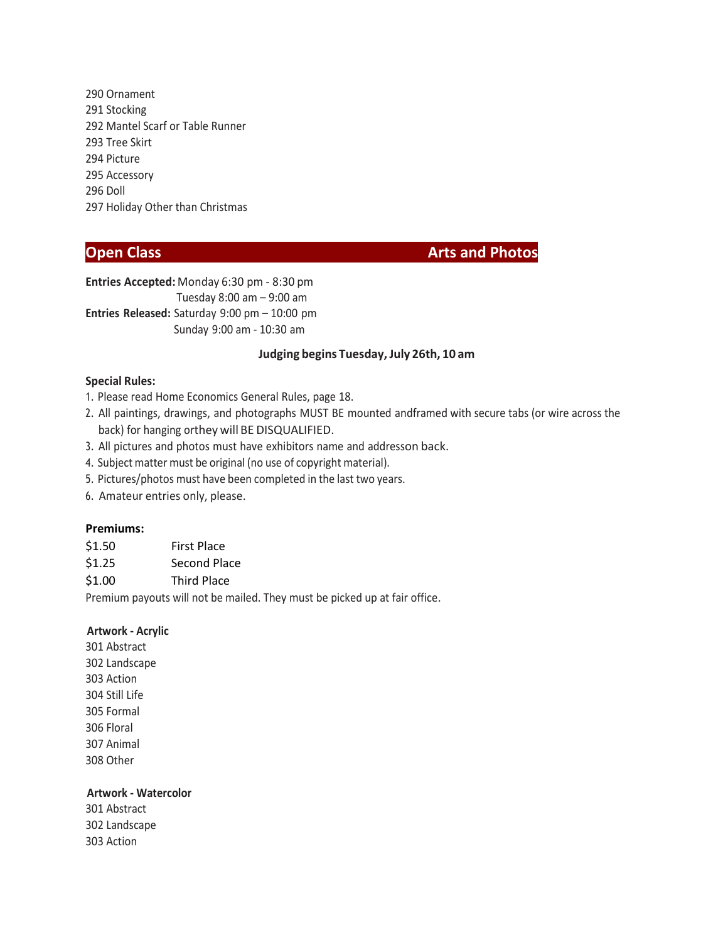290 Ornament 291 Stocking 292 Mantel Scarf or Table Runner 293 Tree Skirt 294 Picture 295 Accessory 296 Doll 297 Holiday Other than Christmas

**Open Class Arts and Photos** 

**Entries Accepted:** Monday 6:30 pm - 8:30 pm Tuesday 8:00 am – 9:00 am **Entries Released:** Saturday 9:00 pm – 10:00 pm Sunday 9:00 am - 10:30 am

### **Judging begins Tuesday,July 26th, 10 am**

### **Special Rules:**

- 1. Please read Home Economics General Rules, page 18.
- 2. All paintings, drawings, and photographs MUST BE mounted andframed with secure tabs (or wire across the back) for hanging orthey will BE DISQUALIFIED.
- 3. All pictures and photos must have exhibitors name and addresson back.
- 4. Subject matter must be original (no use of copyright material).
- 5. Pictures/photos must have been completed in the last two years.
- 6. Amateur entries only, please.

### **Premiums:**

| \$1.50 | <b>First Place</b>  |
|--------|---------------------|
| \$1.25 | <b>Second Place</b> |

\$1.00 Third Place

Premium payouts will not be mailed. They must be picked up at fair office.

### **Artwork - Acrylic**

301 Abstract 302 Landscape 303 Action 304 Still Life 305 Formal 306 Floral 307 Animal 308 Other

# **Artwork - Watercolor**

301 Abstract 302 Landscape 303 Action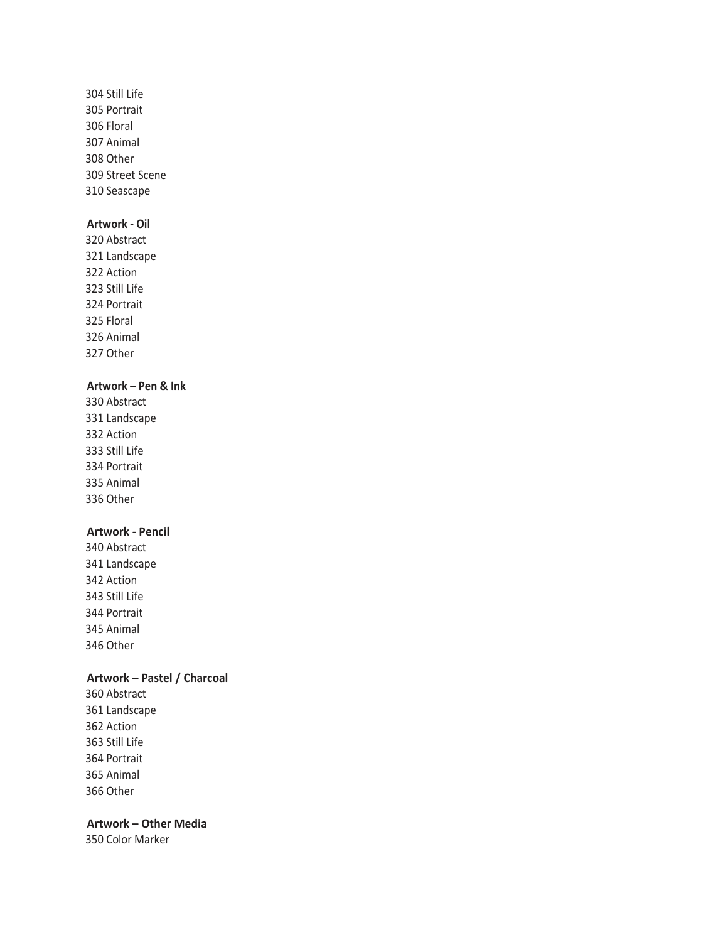Still Life Portrait Floral Animal Other Street Scene Seascape

# **Artwork - Oil**

 Abstract Landscape Action Still Life Portrait Floral Animal Other

# **Artwork – Pen & Ink**

 Abstract Landscape Action Still Life Portrait Animal Other

# **Artwork - Pencil**

 Abstract Landscape Action Still Life Portrait Animal Other

# **Artwork – Pastel / Charcoal**

 Abstract Landscape Action Still Life Portrait Animal Other

**Artwork – Other Media**

Color Marker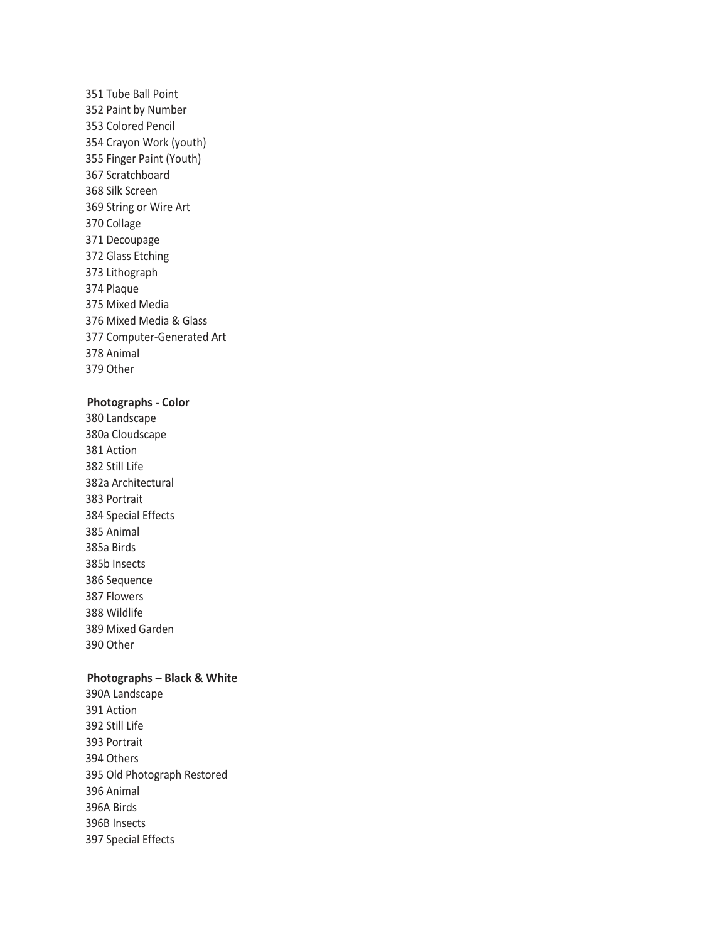Tube Ball Point Paint by Number Colored Pencil Crayon Work (youth) Finger Paint (Youth) Scratchboard Silk Screen String or Wire Art Collage Decoupage Glass Etching Lithograph Plaque Mixed Media Mixed Media & Glass Computer-Generated Art Animal Other

# **Photographs - Color**

 Landscape 380a Cloudscape Action Still Life 382a Architectural Portrait Special Effects Animal 385a Birds 385b Insects Sequence Flowers Wildlife Mixed Garden Other

### **Photographs – Black & White**

390A Landscape Action Still Life Portrait Others Old Photograph Restored Animal 396A Birds 396B Insects Special Effects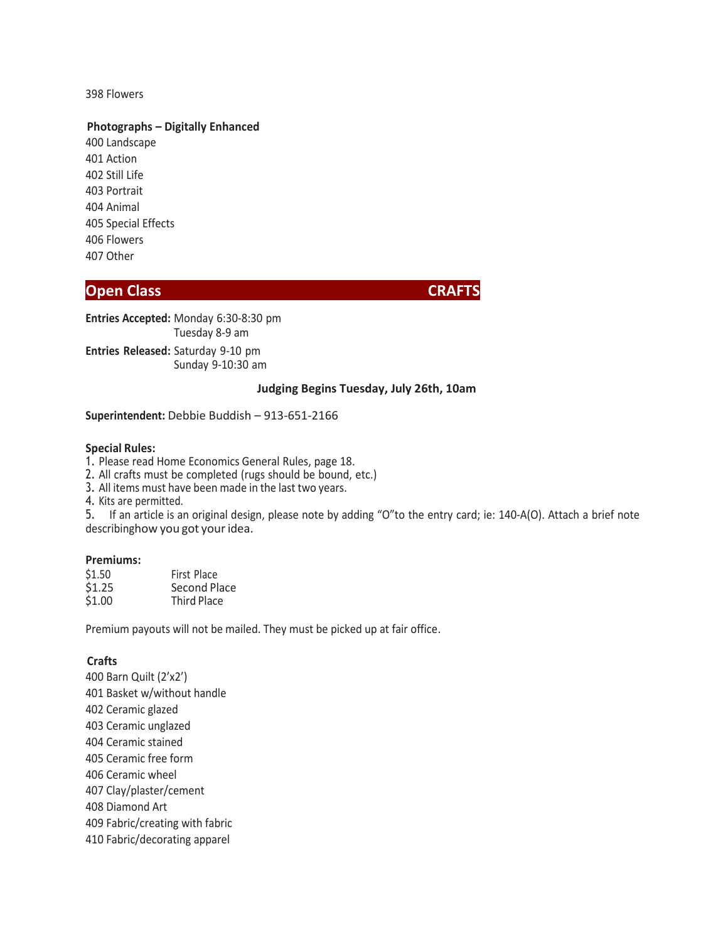398 Flowers

### **Photographs – Digitally Enhanced**

400 Landscape 401 Action 402 Still Life 403 Portrait 404 Animal 405 Special Effects 406 Flowers 407 Other

# **Open Class CRAFTS** CRAFTS

**Entries Accepted:** Monday 6:30-8:30 pm Tuesday 8-9 am **Entries Released:** Saturday 9-10 pm Sunday 9-10:30 am

### **Judging Begins Tuesday, July 26th, 10am**

### **Superintendent:** Debbie Buddish – 913-651-2166

### **Special Rules:**

1. Please read Home Economics General Rules, page 18.

2. All crafts must be completed (rugs should be bound, etc.)

3. All items must have been made in the last two years.

4. Kits are permitted.

5. If an article is an original design, please note by adding "O"to the entry card; ie: 140-A(O). Attach a brief note describinghow you got your idea.

# **Premiums:**

| \$1.50 | First Place        |  |  |
|--------|--------------------|--|--|
| \$1.25 | Second Place       |  |  |
| \$1.00 | <b>Third Place</b> |  |  |

Premium payouts will not be mailed. They must be picked up at fair office.

# **Crafts**

 Barn Quilt (2'x2') Basket w/without handle Ceramic glazed Ceramic unglazed Ceramic stained Ceramic free form Ceramic wheel Clay/plaster/cement Diamond Art Fabric/creating with fabric Fabric/decorating apparel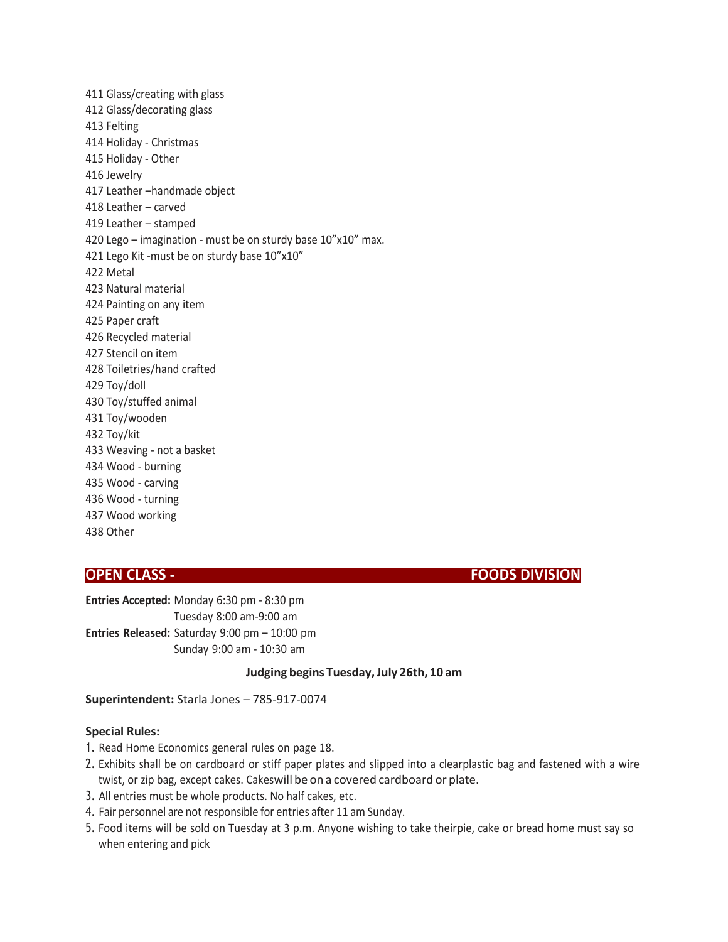Glass/creating with glass Glass/decorating glass Felting Holiday - Christmas Holiday - Other Jewelry Leather –handmade object Leather – carved Leather – stamped Lego – imagination - must be on sturdy base 10"x10" max. 421 Lego Kit -must be on sturdy base 10"x10" Metal Natural material Painting on any item Paper craft Recycled material Stencil on item Toiletries/hand crafted Toy/doll Toy/stuffed animal Toy/wooden Toy/kit Weaving - not a basket Wood - burning Wood - carving Wood - turning Wood working Other

**OPEN CLASS - FOODS DIVISION**

**Entries Accepted:** Monday 6:30 pm - 8:30 pm Tuesday 8:00 am-9:00 am **Entries Released:** Saturday 9:00 pm – 10:00 pm Sunday 9:00 am - 10:30 am

### **Judging begins Tuesday,July 26th, 10 am**

**Superintendent:** Starla Jones – 785-917-0074

### **Special Rules:**

- 1. Read Home Economics general rules on page 18.
- 2. Exhibits shall be on cardboard or stiff paper plates and slipped into a clearplastic bag and fastened with a wire twist, or zip bag, except cakes. Cakeswill be on a covered cardboard or plate.
- 3. All entries must be whole products. No half cakes, etc.
- 4. Fair personnel are not responsible for entries after 11 am Sunday.
- 5. Food items will be sold on Tuesday at 3 p.m. Anyone wishing to take theirpie, cake or bread home must say so when entering and pick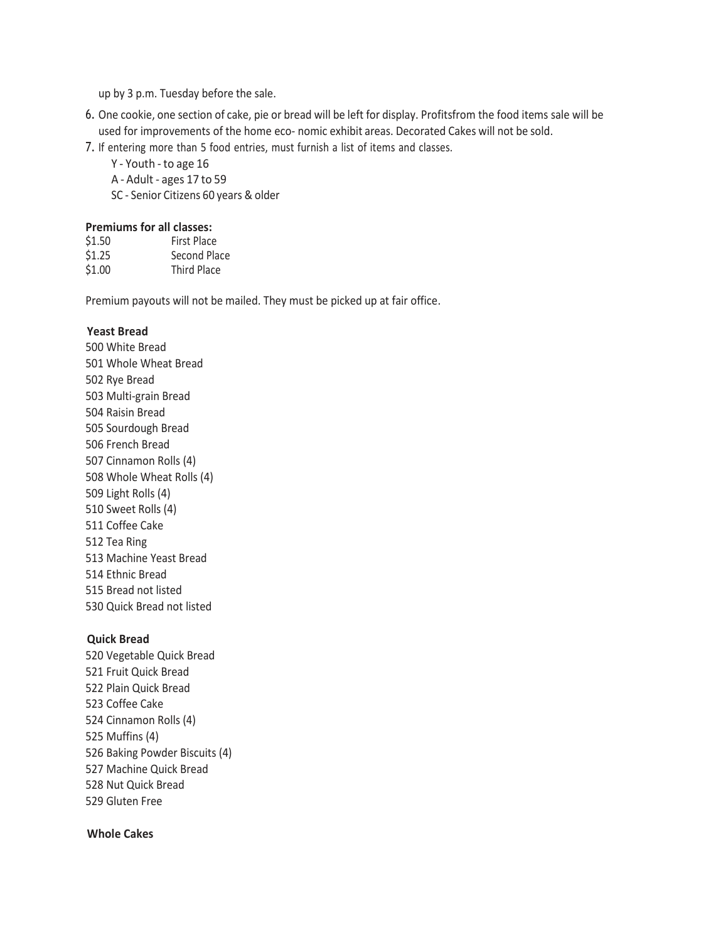up by 3 p.m. Tuesday before the sale.

- 6. One cookie, one section of cake, pie or bread will be left for display. Profitsfrom the food items sale will be used for improvements of the home eco- nomic exhibit areas. Decorated Cakes will not be sold.
- 7. If entering more than 5 food entries, must furnish a list of items and classes.
	- Y Youth to age 16
	- A Adult ages 17 to 59
	- SC Senior Citizens 60 years & older

### **Premiums for all classes:**

| \$1.50 | <b>First Place</b> |
|--------|--------------------|
| \$1.25 | Second Place       |
| \$1.00 | <b>Third Place</b> |

Premium payouts will not be mailed. They must be picked up at fair office.

# **Yeast Bread**

 White Bread Whole Wheat Bread Rye Bread Multi-grain Bread Raisin Bread Sourdough Bread French Bread Cinnamon Rolls (4) Whole Wheat Rolls (4) Light Rolls (4) Sweet Rolls (4) Coffee Cake 512 Tea Ring Machine Yeast Bread Ethnic Bread 515 Bread not listed 530 Quick Bread not listed

### **Quick Bread**

520 Vegetable Quick Bread 521 Fruit Quick Bread 522 Plain Quick Bread 523 Coffee Cake 524 Cinnamon Rolls (4) 525 Muffins (4) 526 Baking Powder Biscuits (4) 527 Machine Quick Bread 528 Nut Quick Bread 529 Gluten Free

# **Whole Cakes**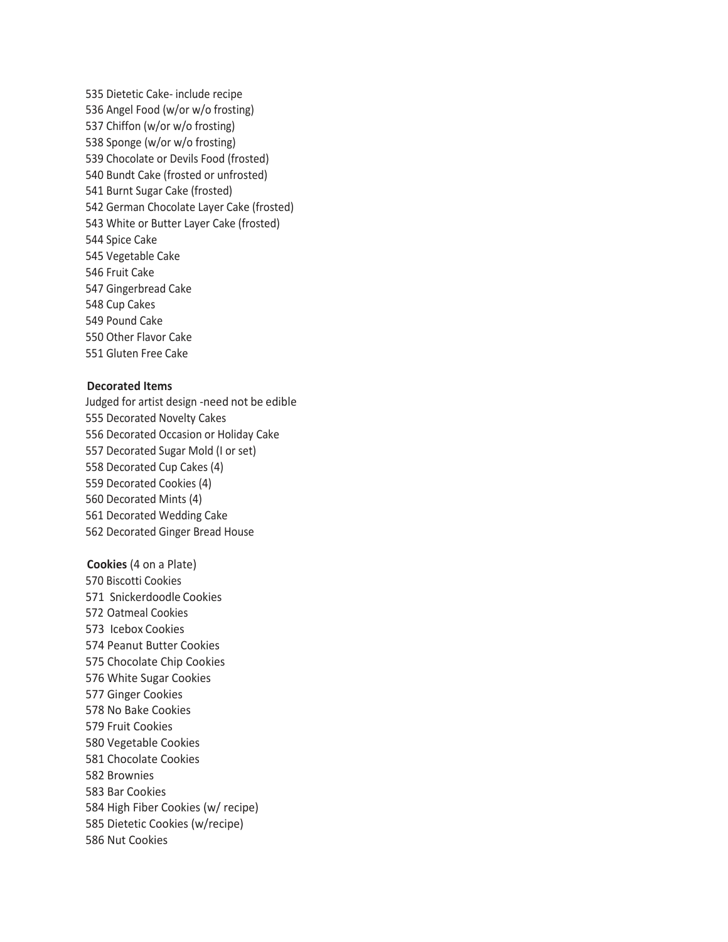Dietetic Cake- include recipe Angel Food (w/or w/o frosting) Chiffon (w/or w/o frosting) Sponge (w/or w/o frosting) Chocolate or Devils Food (frosted) Bundt Cake (frosted or unfrosted) Burnt Sugar Cake (frosted) German Chocolate Layer Cake (frosted) White or Butter Layer Cake (frosted) Spice Cake Vegetable Cake Fruit Cake Gingerbread Cake Cup Cakes Pound Cake Other Flavor Cake Gluten Free Cake

### **Decorated Items**

Judged for artist design -need not be edible Decorated Novelty Cakes Decorated Occasion or Holiday Cake Decorated Sugar Mold (I or set) Decorated Cup Cakes (4) Decorated Cookies (4) Decorated Mints (4) Decorated Wedding Cake Decorated Ginger Bread House

**Cookies** (4 on a Plate) Biscotti Cookies Snickerdoodle Cookies Oatmeal Cookies Icebox Cookies Peanut Butter Cookies 575 Chocolate Chip Cookies 576 White Sugar Cookies 577 Ginger Cookies 578 No Bake Cookies 579 Fruit Cookies 580 Vegetable Cookies 581 Chocolate Cookies 582 Brownies 583 Bar Cookies 584 High Fiber Cookies (w/ recipe) Dietetic Cookies (w/recipe) Nut Cookies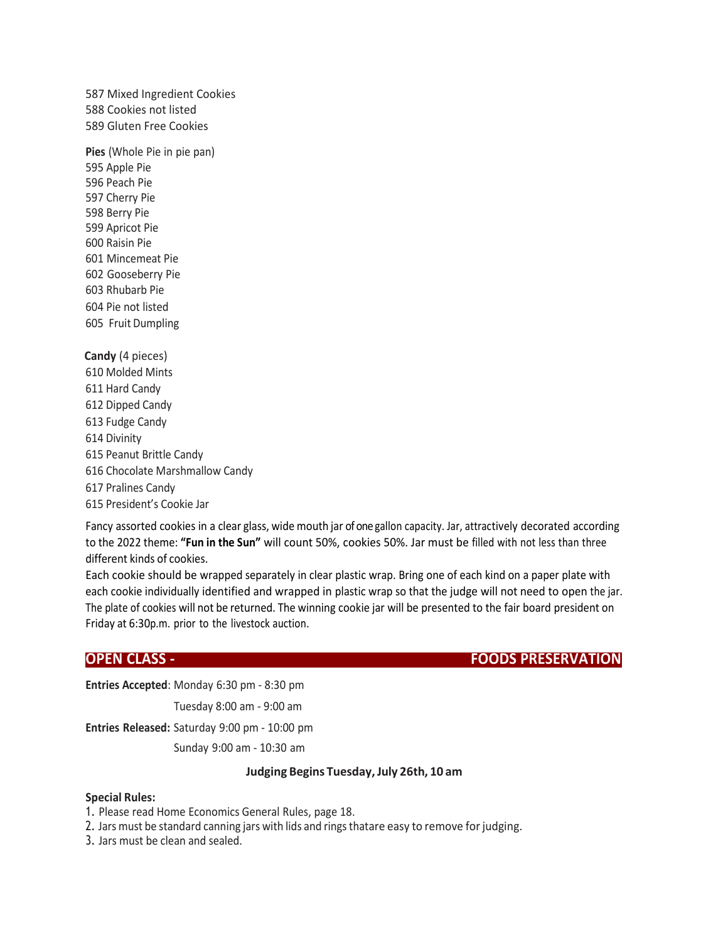587 Mixed Ingredient Cookies 588 Cookies not listed 589 Gluten Free Cookies

**Pies** (Whole Pie in pie pan) Apple Pie Peach Pie Cherry Pie Berry Pie Apricot Pie Raisin Pie Mincemeat Pie Gooseberry Pie Rhubarb Pie Pie not listed Fruit Dumpling

**Candy** (4 pieces) 610 Molded Mints 611 Hard Candy 612 Dipped Candy 613 Fudge Candy 614 Divinity 615 Peanut Brittle Candy 616 Chocolate Marshmallow Candy 617 Pralines Candy 615 President's Cookie Jar

Fancy assorted cookies in a clear glass, wide mouth jar of one gallon capacity. Jar, attractively decorated according to the 2022 theme: **"Fun in the Sun"** will count 50%, cookies 50%. Jar must be filled with not less than three different kinds of cookies.

Each cookie should be wrapped separately in clear plastic wrap. Bring one of each kind on a paper plate with each cookie individually identified and wrapped in plastic wrap so that the judge will not need to open the jar. The plate of cookies will not be returned. The winning cookie jar will be presented to the fair board president on Friday at 6:30p.m. prior to the livestock auction.

**OPEN CLASS - FOODS PRESERVATION**

**Entries Accepted**: Monday 6:30 pm - 8:30 pm

Tuesday 8:00 am - 9:00 am

**Entries Released:** Saturday 9:00 pm - 10:00 pm

Sunday 9:00 am - 10:30 am

# **Judging Begins Tuesday,July 26th, 10 am**

### **Special Rules:**

- 1. Please read Home Economics General Rules, page 18.
- 2. Jars must be standard canning jars with lids and rings thatare easy to remove for judging.

3. Jars must be clean and sealed.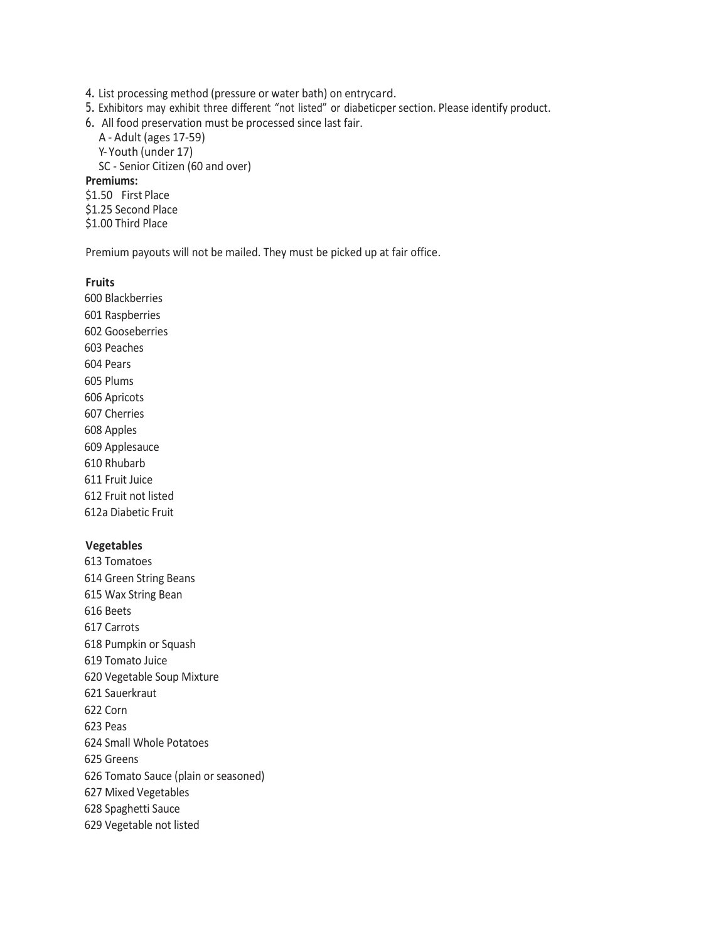4. List processing method (pressure or water bath) on entrycard.

- 5. Exhibitors may exhibit three different "not listed" or diabeticper section. Please identify product.
- 6. All food preservation must be processed since last fair.

A - Adult (ages 17-59) Y- Youth (under 17) SC - Senior Citizen (60 and over) **Premiums:** \$1.50 First Place \$1.25 Second Place \$1.00 Third Place

Premium payouts will not be mailed. They must be picked up at fair office.

## **Fruits**

 Blackberries Raspberries Gooseberries Peaches Pears Plums Apricots Cherries Apples Applesauce Rhubarb Fruit Juice Fruit not listed 612a Diabetic Fruit

### **Vegetables**

 Tomatoes Green String Beans Wax String Bean Beets Carrots Pumpkin or Squash Tomato Juice Vegetable Soup Mixture Sauerkraut Corn Peas Small Whole Potatoes Greens Tomato Sauce (plain or seasoned) Mixed Vegetables Spaghetti Sauce Vegetable not listed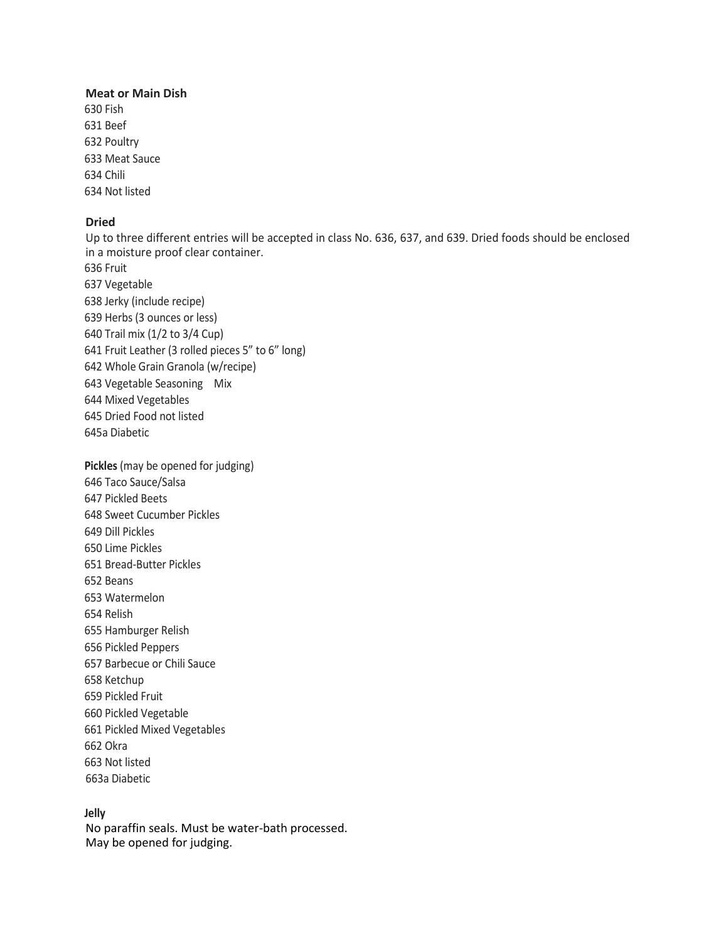### **Meat or Main Dish**

630 Fish 631 Beef 632 Poultry 633 Meat Sauce 634 Chili 634 Not listed

# **Dried**

Up to three different entries will be accepted in class No. 636, 637, and 639. Dried foods should be enclosed in a moisture proof clear container. Fruit Vegetable Jerky (include recipe) Herbs (3 ounces or less) Trail mix (1/2 to 3/4 Cup) Fruit Leather (3 rolled pieces 5" to 6" long) Whole Grain Granola (w/recipe) Vegetable Seasoning Mix Mixed Vegetables Dried Food not listed 645a Diabetic **Pickles** (may be opened for judging)

 Taco Sauce/Salsa Pickled Beets Sweet Cucumber Pickles Dill Pickles Lime Pickles Bread-Butter Pickles Beans Watermelon Relish Hamburger Relish Pickled Peppers Barbecue or Chili Sauce Ketchup Pickled Fruit Pickled Vegetable Pickled Mixed Vegetables Okra Not listed 663a Diabetic

### **Jelly**

No paraffin seals. Must be water-bath processed. May be opened for judging.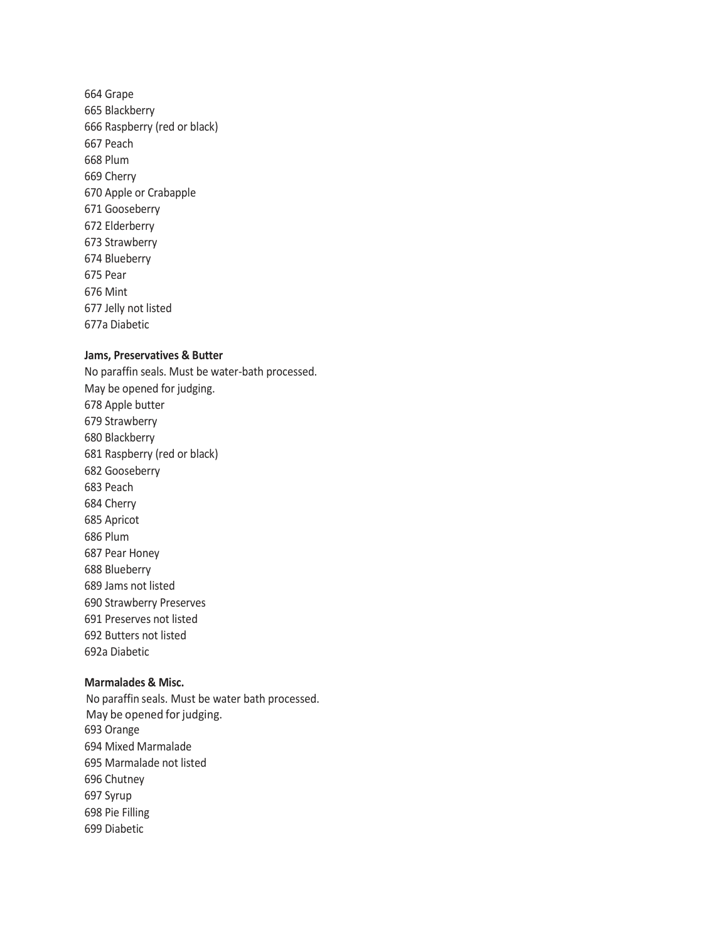Grape Blackberry Raspberry (red or black) Peach Plum Cherry Apple or Crabapple Gooseberry Elderberry Strawberry Blueberry Pear Mint Jelly not listed 677a Diabetic

## **Jams, Preservatives & Butter**

No paraffin seals. Must be water-bath processed. May be opened for judging. Apple butter Strawberry Blackberry Raspberry (red or black) Gooseberry Peach Cherry Apricot Plum Pear Honey Blueberry Jams not listed Strawberry Preserves Preserves not listed Butters not listed 692a Diabetic

# **Marmalades & Misc.**

No paraffin seals. Must be water bath processed. May be opened for judging. Orange Mixed Marmalade Marmalade not listed Chutney 697 Syrup Pie Filling Diabetic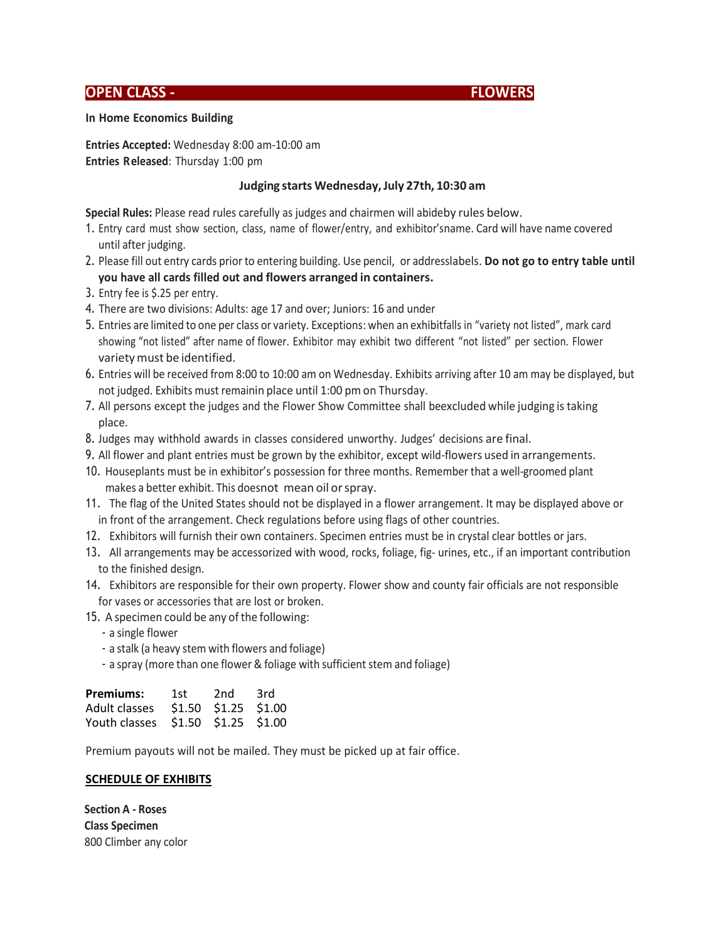# **OPEN CLASS - FLOWERS**



### **In Home Economics Building**

**Entries Accepted:** Wednesday 8:00 am-10:00 am **Entries Released**: Thursday 1:00 pm

# **Judging starts Wednesday,July 27th, 10:30 am**

**Special Rules:** Please read rules carefully as judges and chairmen will abideby rules below.

- 1. Entry card must show section, class, name of flower/entry, and exhibitor'sname. Card will have name covered until after judging.
- 2. Please fill out entry cards prior to entering building. Use pencil, or addresslabels. **Do not go to entry table until you have all cards filled out and flowers arranged in containers.**
- 3. Entry fee is \$.25 per entry.
- 4. There are two divisions: Adults: age 17 and over; Juniors: 16 and under
- 5. Entries are limited to one per class or variety. Exceptions: when an exhibitfalls in "variety not listed", mark card showing "not listed" after name of flower. Exhibitor may exhibit two different "not listed" per section. Flower varietymust be identified.
- 6. Entries will be received from 8:00 to 10:00 am on Wednesday. Exhibits arriving after 10 am may be displayed, but not judged. Exhibits must remainin place until 1:00 pm on Thursday.
- 7. All persons except the judges and the Flower Show Committee shall beexcluded while judging istaking place.
- 8. Judges may withhold awards in classes considered unworthy. Judges' decisions are final.
- 9. All flower and plant entries must be grown by the exhibitor, except wild-flowers used in arrangements.
- 10. Houseplants must be in exhibitor's possession for three months. Remember that a well-groomed plant makes a better exhibit. This doesnot mean oil orspray.
- 11. The flag of the United States should not be displayed in a flower arrangement. It may be displayed above or in front of the arrangement. Check regulations before using flags of other countries.
- 12. Exhibitors will furnish their own containers. Specimen entries must be in crystal clear bottles or jars.
- 13. All arrangements may be accessorized with wood, rocks, foliage, fig- urines, etc., if an important contribution to the finished design.
- 14. Exhibitors are responsible for their own property. Flower show and county fair officials are not responsible for vases or accessories that are lost or broken.
- 15. A specimen could be any of the following:
	- a single flower
	- a stalk (a heavy stem with flowers and foliage)
	- a spray (more than one flower & foliage with sufficient stem and foliage)

| <b>Premiums:</b>                   | 1st - | 2nd                     | 3rd |
|------------------------------------|-------|-------------------------|-----|
| Adult classes                      |       | $$1.50$ $$1.25$ $$1.00$ |     |
| Youth classes \$1.50 \$1.25 \$1.00 |       |                         |     |

Premium payouts will not be mailed. They must be picked up at fair office.

### **SCHEDULE OF EXHIBITS**

**Section A - Roses Class Specimen** 800 Climber any color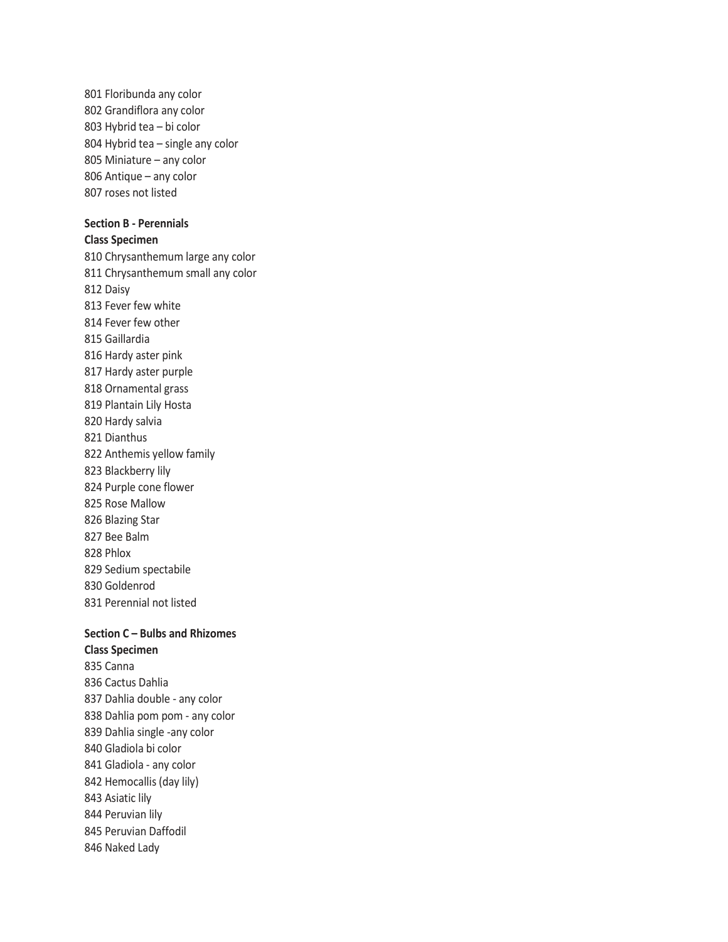801 Floribunda any color 802 Grandiflora any color 803 Hybrid tea – bi color 804 Hybrid tea – single any color 805 Miniature – any color 806 Antique – any color 807 roses not listed

### **Section B - Perennials**

### **Class Specimen**

810 Chrysanthemum large any color 811 Chrysanthemum small any color 812 Daisy 813 Fever few white 814 Fever few other 815 Gaillardia 816 Hardy aster pink 817 Hardy aster purple 818 Ornamental grass 819 Plantain Lily Hosta 820 Hardy salvia 821 Dianthus 822 Anthemis yellow family 823 Blackberry lily 824 Purple cone flower 825 Rose Mallow 826 Blazing Star 827 Bee Balm 828 Phlox 829 Sedium spectabile 830 Goldenrod 831 Perennial not listed

# **Section C – Bulbs and Rhizomes Class Specimen**

835 Canna 836 Cactus Dahlia 837 Dahlia double - any color 838 Dahlia pom pom - any color 839 Dahlia single -any color 840 Gladiola bi color 841 Gladiola - any color 842 Hemocallis (day lily) 843 Asiatic lily 844 Peruvian lily 845 Peruvian Daffodil 846 Naked Lady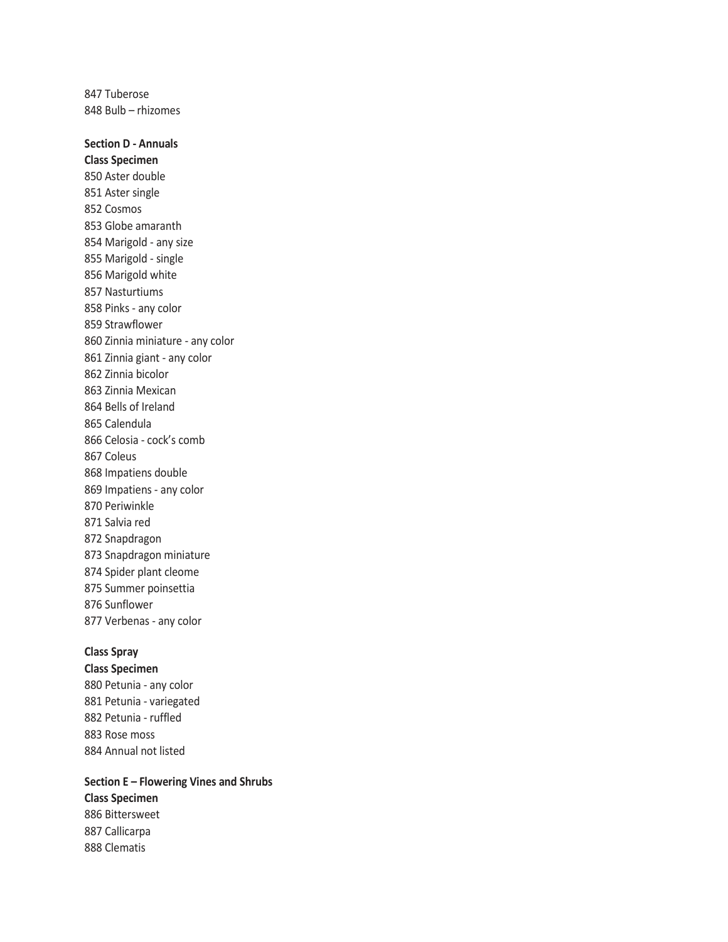847 Tuberose 848 Bulb – rhizomes

**Section D - Annuals Class Specimen**  850 Aster double 851 Aster single 852 Cosmos 853 Globe amaranth 854 Marigold - any size 855 Marigold - single 856 Marigold white 857 Nasturtiums 858 Pinks - any color 859 Strawflower 860 Zinnia miniature - any color 861 Zinnia giant - any color 862 Zinnia bicolor 863 Zinnia Mexican 864 Bells of Ireland 865 Calendula 866 Celosia - cock's comb 867 Coleus 868 Impatiens double 869 Impatiens - any color 870 Periwinkle 871 Salvia red 872 Snapdragon 873 Snapdragon miniature 874 Spider plant cleome 875 Summer poinsettia 876 Sunflower 877 Verbenas - any color

### **Class Spray**

**Class Specimen** 880 Petunia - any color 881 Petunia - variegated 882 Petunia - ruffled 883 Rose moss 884 Annual not listed

**Section E – Flowering Vines and Shrubs Class Specimen**  886 Bittersweet 887 Callicarpa 888 Clematis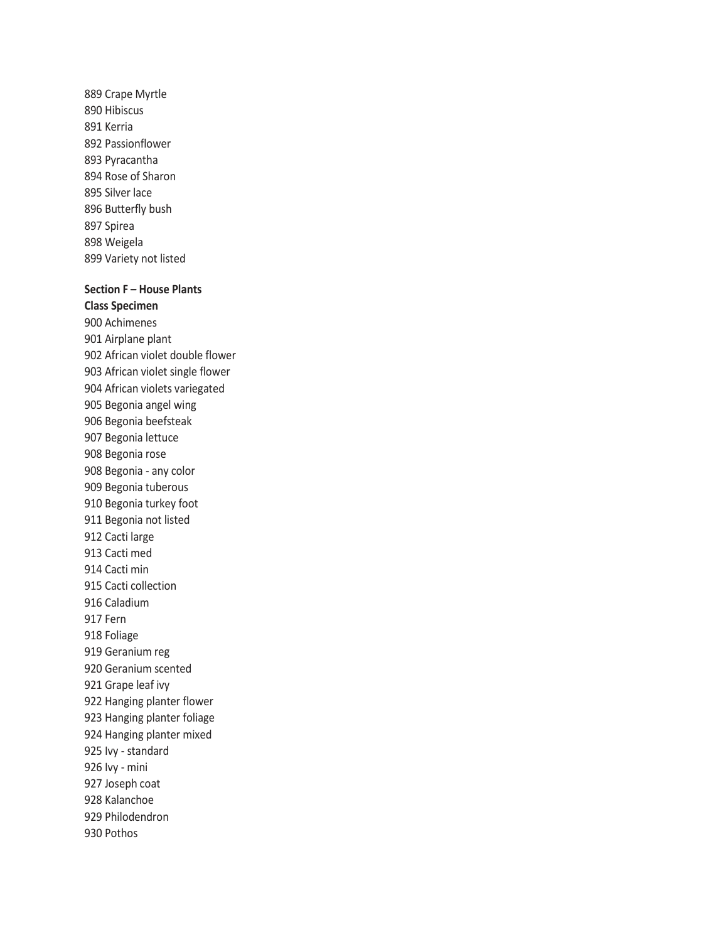889 Crape Myrtle 890 Hibiscus 891 Kerria 892 Passionflower 893 Pyracantha 894 Rose of Sharon 895 Silver lace 896 Butterfly bush 897 Spirea 898 Weigela 899 Variety not listed

### **Section F – House Plants**

**Class Specimen**  900 Achimenes 901 Airplane plant 902 African violet double flower 903 African violet single flower 904 African violets variegated 905 Begonia angel wing 906 Begonia beefsteak 907 Begonia lettuce 908 Begonia rose 908 Begonia - any color 909 Begonia tuberous 910 Begonia turkey foot 911 Begonia not listed 912 Cacti large 913 Cacti med 914 Cacti min 915 Cacti collection 916 Caladium 917 Fern 918 Foliage 919 Geranium reg 920 Geranium scented 921 Grape leaf ivy 922 Hanging planter flower 923 Hanging planter foliage 924 Hanging planter mixed 925 Ivy - standard 926 Ivy - mini 927 Joseph coat 928 Kalanchoe 929 Philodendron 930 Pothos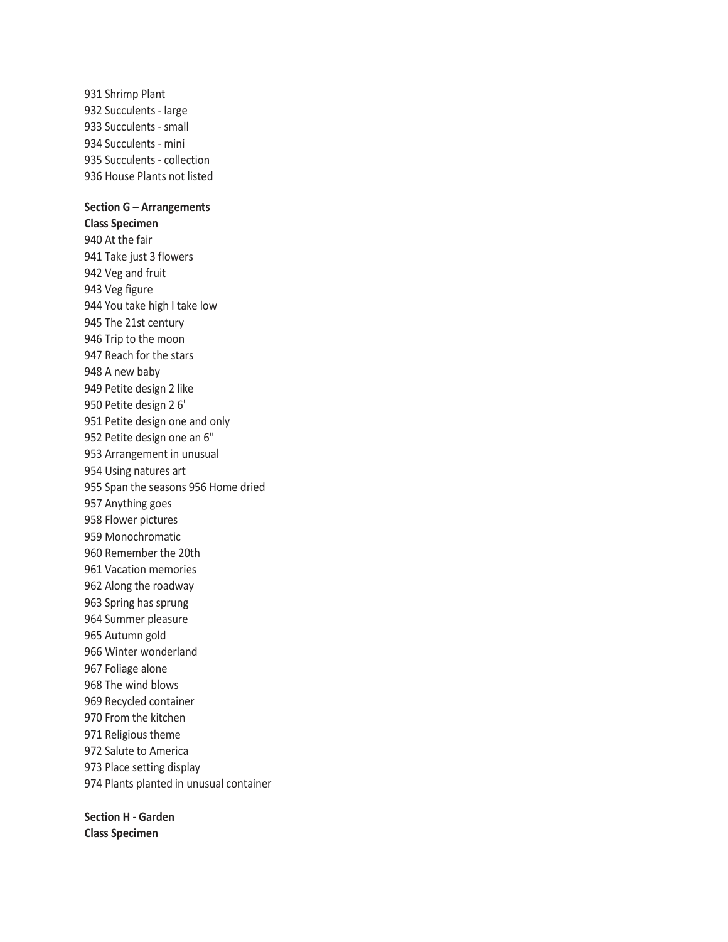931 Shrimp Plant 932 Succulents - large 933 Succulents - small 934 Succulents - mini 935 Succulents - collection 936 House Plants not listed

# **Section G – Arrangements**

**Class Specimen**  940 At the fair 941 Take just 3 flowers 942 Veg and fruit 943 Veg figure 944 You take high I take low 945 The 21st century 946 Trip to the moon 947 Reach for the stars 948 A new baby 949 Petite design 2 like 950 Petite design 2 6' 951 Petite design one and only 952 Petite design one an 6" 953 Arrangement in unusual 954 Using natures art 955 Span the seasons 956 Home dried 957 Anything goes 958 Flower pictures 959 Monochromatic 960 Remember the 20th 961 Vacation memories 962 Along the roadway 963 Spring has sprung 964 Summer pleasure 965 Autumn gold 966 Winter wonderland 967 Foliage alone 968 The wind blows 969 Recycled container 970 From the kitchen 971 Religious theme 972 Salute to America 973 Place setting display 974 Plants planted in unusual container

**Section H - Garden Class Specimen**